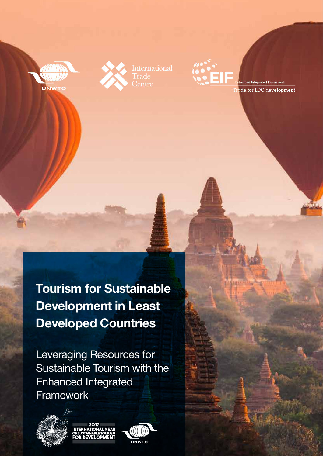





anced Integrated Framework ade for LDC development

Tourism for Sustainable Development in Least Developed Countries

Leveraging Resources for Sustainable Tourism with the Enhanced Integrated Framework





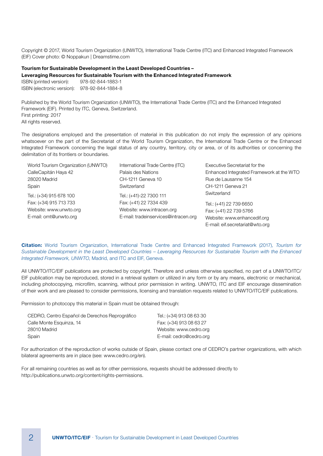Copyright © 2017, World Tourism Organization (UNWTO), International Trade Centre (ITC) and Enhanced Integrated Framework (EIF) Cover photo: © Noppakun | Dreamstime.com

#### Tourism for Sustainable Development in the Least Developed Countries –

Leveraging Resources for Sustainable Tourism with the Enhanced Integrated Framework

ISBN (printed version): 978-92-844-1883-1 ISBN (electronic version): 978-92-844-1884-8

Published by the World Tourism Organization (UNWTO), the International Trade Centre (ITC) and the Enhanced Integrated Framework (EIF). Printed by ITC, Geneva, Switzerland. First printing: 2017 All rights reserved.

The designations employed and the presentation of material in this publication do not imply the expression of any opinions whatsoever on the part of the Secretariat of the World Tourism Organization, the International Trade Centre or the Enhanced Integrated Framework concerning the legal status of any country, territory, city or area, or of its authorities or concerning the delimitation of its frontiers or boundaries.

| World Tourism Organization (UNWTO) | International Trade Centre (ITC)     | Executive Secretariat for the            |
|------------------------------------|--------------------------------------|------------------------------------------|
| CalleCapitán Haya 42               | Palais des Nations                   | Enhanced Integrated Framework at the WTO |
| 28020 Madrid                       | CH-1211 Geneva 10                    | Rue de Lausanne 154                      |
| Spain                              | Switzerland                          | CH-1211 Geneva 21                        |
| Tel.: (+34) 915 678 100            | Tel.: (+41)-22 7300 111              | Switzerland                              |
| Fax: (+34) 915 713 733             | Fax: (+41) 22 7334 439               | Tel.: (+41) 22 739 6650                  |
| Website: www.unwto.org             | Website: www.intracen.org            | Fax: (+41) 22 739 5766                   |
| E-mail: omt@unwto.org              | E-mail: tradeinservices@intracen.org | Website: www.enhancedif.org              |
|                                    |                                      | E-mail: eif.secretariat@wto.org          |

Citation: World Tourism Organization, International Trade Centre and Enhanced Integrated Framework (2017), Tourism for Sustainable Development in the Least Developed Countries – Leveraging Resources for Sustainable Tourism with the Enhanced Integrated Framework, UNWTO, Madrid, and ITC and EIF, Geneva.

All UNWTO/ITC/EIF publications are protected by copyright. Therefore and unless otherwise specified, no part of a UNWTO/ITC/ EIF publication may be reproduced, stored in a retrieval system or utilized in any form or by any means, electronic or mechanical, including photocopying, microfilm, scanning, without prior permission in writing. UNWTO, ITC and EIF encourage dissemination of their work and are pleased to consider permissions, licensing and translation requests related to UNWTO/ITC/EIF publications.

Permission to photocopy this material in Spain must be obtained through:

| CEDRO, Centro Español de Derechos Reprográfico | Tel.: (+34) 913 08 63 30 |
|------------------------------------------------|--------------------------|
| Calle Monte Esquinza. 14                       | Fax: (+34) 913 08 63 27  |
| 28010 Madrid                                   | Website: www.cedro.org   |
| Spain                                          | E-mail: cedro@cedro.org  |

For authorization of the reproduction of works outside of Spain, please contact one of CEDRO's partner organizations, with which bilateral agreements are in place (see: www.cedro.org/en).

For all remaining countries as well as for other permissions, requests should be addressed directly to http://publications.unwto.org/content/rights-permissions.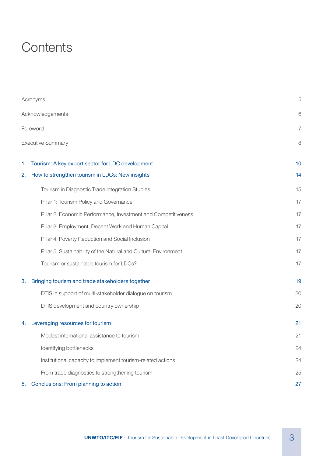## **Contents**

|    | Acronyms                                                         | 5  |
|----|------------------------------------------------------------------|----|
|    | Acknowledgements                                                 | 6  |
|    | Foreword                                                         | 7  |
|    | <b>Executive Summary</b>                                         | 8  |
| 1. | Tourism: A key export sector for LDC development                 | 10 |
| 2. | How to strengthen tourism in LDCs: New insights                  | 14 |
|    | Tourism in Diagnostic Trade Integration Studies                  | 15 |
|    | Pillar 1: Tourism Policy and Governance                          | 17 |
|    | Pillar 2: Economic Performance, Investment and Competitiveness   | 17 |
|    | Pillar 3: Employment, Decent Work and Human Capital              | 17 |
|    | Pillar 4: Poverty Reduction and Social Inclusion                 | 17 |
|    | Pillar 5: Sustainability of the Natural and Cultural Environment | 17 |
|    | Tourism or sustainable tourism for LDCs?                         | 17 |
| 3. | Bringing tourism and trade stakeholders together                 | 19 |
|    | DTIS in support of multi-stakeholder dialogue on tourism         | 20 |
|    | DTIS development and country ownership                           | 20 |
| 4. | Leveraging resources for tourism                                 | 21 |
|    | Modest international assistance to tourism                       | 21 |
|    | Identifying bottlenecks                                          | 24 |
|    | Institutional capacity to implement tourism-related actions      | 24 |
|    | From trade diagnostics to strengthening tourism                  | 25 |
| 5. | Conclusions: From planning to action                             | 27 |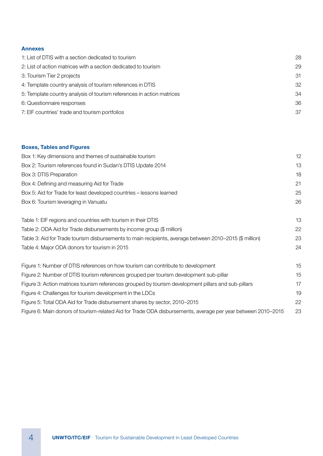## Annexes

| 1: List of DTIS with a section dedicated to tourism                   | 28 |
|-----------------------------------------------------------------------|----|
| 2: List of action matrices with a section dedicated to tourism        | 29 |
| 3: Tourism Tier 2 projects                                            | 31 |
| 4: Template country analysis of tourism references in DTIS            | 32 |
| 5: Template country analysis of tourism references in action matrices | 34 |
| 6: Questionnaire responses                                            | 36 |
| 7: EIF countries' trade and tourism portfolios                        | 37 |
|                                                                       |    |

## Boxes, Tables and Figures

| Box 1: Key dimensions and themes of sustainable tourism                                                      | 12 |
|--------------------------------------------------------------------------------------------------------------|----|
| Box 2: Tourism references found in Sudan's DTIS Update 2014                                                  | 13 |
| Box 3: DTIS Preparation                                                                                      | 18 |
| Box 4: Defining and measuring Aid for Trade                                                                  | 21 |
| Box 5: Aid for Trade for least developed countries - lessons learned                                         | 25 |
| Box 6: Tourism leveraging in Vanuatu                                                                         | 26 |
| Table 1: EIF regions and countries with tourism in their DTIS                                                | 13 |
| Table 2: ODA Aid for Trade disbursements by income group (\$ million)                                        | 22 |
| Table 3: Aid for Trade tourism disbursements to main recipients, average between 2010-2015 (\$ million)      | 23 |
| Table 4: Major ODA donors for tourism in 2015                                                                | 24 |
| Figure 1: Number of DTIS references on how tourism can contribute to development                             | 15 |
| Figure 2: Number of DTIS tourism references grouped per tourism development sub-pillar                       | 15 |
| Figure 3: Action matrices tourism references grouped by tourism development pillars and sub-pillars          | 17 |
| Figure 4: Challenges for tourism development in the LDCs                                                     | 19 |
| Figure 5: Total ODA Aid for Trade disbursement shares by sector, 2010-2015                                   | 22 |
| Figure 6: Main donors of tourism-related Aid for Trade ODA disbursements, average per year between 2010-2015 | 23 |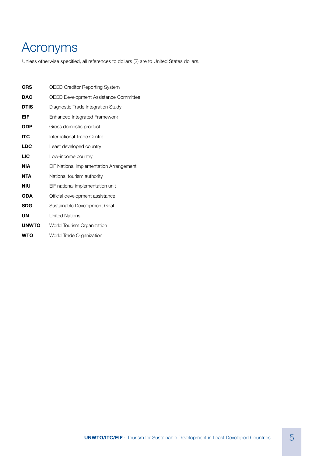# Acronyms

Unless otherwise specified, all references to dollars (\$) are to United States dollars.

| <b>CRS</b>   | OECD Creditor Reporting System          |
|--------------|-----------------------------------------|
| <b>DAC</b>   | OECD Development Assistance Committee   |
| <b>DTIS</b>  | Diagnostic Trade Integration Study      |
| EIF          | Enhanced Integrated Framework           |
| <b>GDP</b>   | Gross domestic product                  |
| <b>ITC</b>   | International Trade Centre              |
| <b>LDC</b>   | Least developed country                 |
| <b>LIC</b>   | Low-income country                      |
| <b>NIA</b>   | EIF National Implementation Arrangement |
| <b>NTA</b>   | National tourism authority              |
| <b>NIU</b>   | EIF national implementation unit        |
| <b>ODA</b>   | Official development assistance         |
| <b>SDG</b>   | Sustainable Development Goal            |
| UN           | <b>United Nations</b>                   |
| <b>UNWTO</b> | World Tourism Organization              |
| WTO          | World Trade Organization                |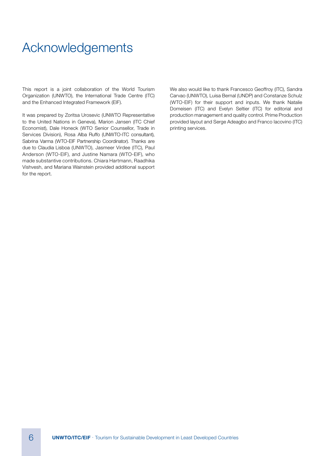## Acknowledgements

This report is a joint collaboration of the World Tourism Organization (UNWTO), the International Trade Centre (ITC) and the Enhanced Integrated Framework (EIF).

It was prepared by Zoritsa Urosevic (UNWTO Representative to the United Nations in Geneva), Marion Jansen (ITC Chief Economist), Dale Honeck (WTO Senior Counsellor, Trade in Services Division), Rosa Alba Ruffo (UNWTO-ITC consultant), Sabrina Varma (WTO-EIF Partnership Coordinator). Thanks are due to Claudia Lisboa (UNWTO), Jasmeer Virdee (ITC), Paul Anderson (WTO-EIF), and Justine Namara (WTO-EIF), who made substantive contributions. Chiara Hartmann, Raadhika Vishvesh, and Mariana Wainstein provided additional support for the report.

We also would like to thank Francesco Geoffroy (ITC), Sandra Carvao (UNWTO), Luisa Bernal (UNDP) and Constanze Schulz (WTO-EIF) for their support and inputs. We thank Natalie Domeisen (ITC) and Evelyn Seltier (ITC) for editorial and production management and quality control. Prime Production provided layout and Serge Adeagbo and Franco Iacovino (ITC) printing services.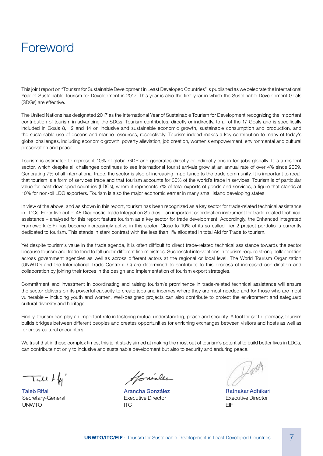## Foreword

This joint report on "Tourism for Sustainable Development in Least Developed Countries" is published as we celebrate the International Year of Sustainable Tourism for Development in 2017. This year is also the first year in which the Sustainable Development Goals (SDGs) are effective.

The United Nations has designated 2017 as the International Year of Sustainable Tourism for Development recognizing the important contribution of tourism in advancing the SDGs. Tourism contributes, directly or indirectly, to all of the 17 Goals and is specifically included in Goals 8, 12 and 14 on inclusive and sustainable economic growth, sustainable consumption and production, and the sustainable use of oceans and marine resources, respectively. Tourism indeed makes a key contribution to many of today's global challenges, including economic growth, poverty alleviation, job creation, women's empowerment, environmental and cultural preservation and peace.

Tourism is estimated to represent 10% of global GDP and generates directly or indirectly one in ten jobs globally. It is a resilient sector, which despite all challenges continues to see international tourist arrivals grow at an annual rate of over 4% since 2009. Generating 7% of all international trade, the sector is also of increasing importance to the trade community. It is important to recall that tourism is a form of services trade and that tourism accounts for 30% of the world's trade in services. Tourism is of particular value for least developed countries (LDCs), where it represents 7% of total exports of goods and services, a figure that stands at 10% for non-oil LDC exporters. Tourism is also the major economic earner in many small island developing states.

In view of the above, and as shown in this report, tourism has been recognized as a key sector for trade-related technical assistance in LDCs. Forty-five out of 48 Diagnostic Trade Integration Studies – an important coordination instrument for trade-related technical assistance – analysed for this report feature tourism as a key sector for trade development. Accordingly, the Enhanced Integrated Framework (EIF) has become increasingly active in this sector. Close to 10% of its so-called Tier 2 project portfolio is currently dedicated to tourism. This stands in stark contrast with the less than 1% allocated in total Aid for Trade to tourism.

Yet despite tourism's value in the trade agenda, it is often difficult to direct trade-related technical assistance towards the sector because tourism and trade tend to fall under different line ministries. Successful interventions in tourism require strong collaboration across government agencies as well as across different actors at the regional or local level. The World Tourism Organization (UNWTO) and the International Trade Centre (ITC) are determined to contribute to this process of increased coordination and collaboration by joining their forces in the design and implementation of tourism export strategies.

Commitment and investment in coordinating and raising tourism's prominence in trade-related technical assistance will ensure the sector delivers on its powerful capacity to create jobs and incomes where they are most needed and for those who are most vulnerable – including youth and women. Well-designed projects can also contribute to protect the environment and safeguard cultural diversity and heritage.

Finally, tourism can play an important role in fostering mutual understanding, peace and security. A tool for soft diplomacy, tourism builds bridges between different peoples and creates opportunities for enriching exchanges between visitors and hosts as well as for cross-cultural encounters.

We trust that in these complex times, this joint study aimed at making the most out of tourism's potential to build better lives in LDCs, can contribute not only to inclusive and sustainable development but also to security and enduring peace.

 $\tau$ ic $\mu$  d  $\mu'$ 

Taleb Rifai Secretary-General **UNWTO** 

Howider

Arancha González Executive Director ITC

Dally

Ratnakar Adhikari Executive Director EIF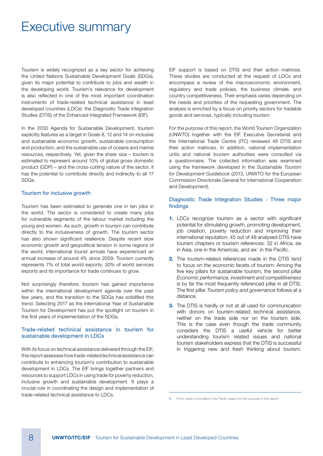## Executive summary

Tourism is widely recognized as a key sector for achieving the United Nations Sustainable Development Goals (SDGs), given its major potential to contribute to jobs and wealth in the developing world. Tourism's relevance for development is also reflected in one of the most important coordination instruments of trade-related technical assistance in least developed countries (LDCs): the Diagnostic Trade Integration Studies (DTIS) of the Enhanced Integrated Framework (EIF).

In the 2030 Agenda for Sustainable Development, tourism explicitly features as a target in Goals 8, 12 and 14 on inclusive and sustainable economic growth, sustainable consumption and production, and the sustainable use of oceans and marine resources, respectively. Yet, given the sheer size – tourism is estimated to represent around 10% of global gross domestic product (GDP) – and the cross-cutting nature of the sector, it has the potential to contribute directly and indirectly to all 17 SDGs.

#### Tourism for inclusive growth

Tourism has been estimated to generate one in ten jobs in the world. The sector is considered to create many jobs for vulnerable segments of the labour market including the young and women. As such, growth in tourism can contribute directly to the inclusiveness of growth. The tourism sector has also shown significant resilience. Despite recent slow economic growth and geopolitical tension in some regions of the world, international tourist arrivals have experienced an annual increase of around 4% since 2009. Tourism currently represents 7% of total world exports, 30% of world services exports and its importance for trade continues to grow.

Not surprisingly therefore, tourism has gained importance within the international development agenda over the past few years, and the transition to the SDGs has solidified this trend. Selecting 2017 as the International Year of Sustainable Tourism for Development has put the spotlight on tourism in the first years of implementation of the SDGs.

#### Trade-related technical assistance in tourism for sustainable development in LDCs

With its focus on technical assistance delivered through the EIF. this report assesses how trade-related technical assistance can contribute to enhancing tourism's contribution to sustainable development in LDCs. The EIF brings together partners and resources to support LDCs in using trade for poverty reduction, inclusive growth and sustainable development. It plays a crucial role in coordinating the design and implementation of trade-related technical assistance to LDCs.

EIF support is based on DTIS and their action matrices. These studies are conducted at the request of LDCs and encompass a review of the macroeconomic environment, regulatory and trade policies, the business climate, and country competitiveness. Their emphasis varies depending on the needs and priorities of the requesting government. The analysis is enriched by a focus on priority sectors for tradable goods and services, typically including tourism.

For the purpose of this report, the World Tourism Organization (UNWTO) together with the EIF Executive Secretariat and the International Trade Centre (ITC) reviewed 48 DTIS and their action matrices. In addition, national implementation units and national tourism authorities were consulted via a questionnaire. The collected information was examined using the framework developed in the Sustainable Tourism for Development Guidebook (2013, UNWTO for the European Commission Directorate General for International Cooperation and Development).

#### Diagnostic Trade Integration Studies : Three major findings

- **1.** LDCs recognize tourism as a sector with significant potential for stimulating growth, promoting development, job creation, poverty reduction and improving their international reputation: 45 out of 48 analysed DTIS have tourism chapters or tourism references: 32 in Africa, six in Asia, one in the Americas, and  $six<sup>1</sup>$  in the Pacific.
- 2. The tourism-related references made in the DTIS tend to focus on the economic facets of tourism: Among the five key pillars for sustainable tourism, the second pillar Economic performance, investment and competitiveness is by far the most frequently referenced pillar in all DTIS. The first pillar Tourism policy and governance follows at a distance.
- **3.** The DTIS is hardly or not at all used for communication with donors on tourism-related technical assistance, neither on the trade side nor on the tourism side. This is the case even though the trade community considers the DTIS a useful vehicle for better understanding tourism related issues and national tourism stakeholders express that the DTIS is successful in triggering new and fresh thinking about tourism.

<sup>1</sup> Timor Leste is included in the Pacific region for the purpose of this report.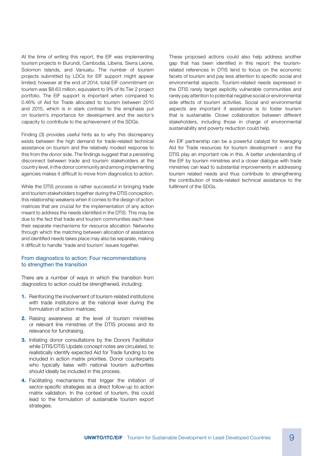At the time of writing this report, the EIF was implementing tourism projects in Burundi, Cambodia, Liberia, Sierra Leone, Solomon Islands, and Vanuatu. The number of tourism projects submitted by LDCs for EIF support might appear limited; however at the end of 2014, total EIF commitment on tourism was \$8.63 million, equivalent to 9% of its Tier 2 project portfolio. The EIF support is important when compared to 0.46% of Aid for Trade allocated to tourism between 2010 and 2015, which is in stark contrast to the emphasis put on tourism's importance for development and the sector's capacity to contribute to the achievement of the SDGs.

Finding (3) provides useful hints as to why this discrepancy exists between the high demand for trade-related technical assistance on tourism and the relatively modest response to this from the donor side. The findings suggest that a persisting disconnect between trade and tourism stakeholders at the country level, in the donor community and among implementing agencies makes it difficult to move from diagnostics to action.

While the DTIS process is rather successful in bringing trade and tourism stakeholders together during the DTIS conception, this relationship weakens when it comes to the design of action matrices that are crucial for the implementation of any action meant to address the needs identified in the DTIS. This may be due to the fact that trade and tourism communities each have their separate mechanisms for resource allocation. Networks through which the matching between allocation of assistance and identified needs takes place may also be separate, making it difficult to handle 'trade and tourism' issues together.

#### From diagnostics to action: Four recommendations to strengthen the transition

There are a number of ways in which the transition from diagnostics to action could be strengthened, including:

- 1. Reinforcing the involvement of tourism-related institutions with trade institutions at the national level during the formulation of action matrices;
- 2. Raising awareness at the level of tourism ministries or relevant line ministries of the DTIS process and its relevance for fundraising.
- **3.** Initiating donor consultations by the Donors Facilitator while DTIS/DTIS Update concept notes are circulated, to realistically identify expected Aid for Trade funding to be included in action matrix priorities. Donor counterparts who typically liaise with national tourism authorities should ideally be included in this process.
- 4. Facilitating mechanisms that trigger the initiation of sector-specific strategies as a direct follow-up to action matrix validation. In the context of tourism, this could lead to the formulation of sustainable tourism export strategies.

These proposed actions could also help address another gap that has been identified in this report: the tourismrelated references in DTIS tend to focus on the economic facets of tourism and pay less attention to specific social and environmental aspects. Tourism-related needs expressed in the DTIS rarely target explicitly vulnerable communities and rarely pay attention to potential negative social or environmental side effects of tourism activities. Social and environmental aspects are important if assistance is to foster tourism that is sustainable. Closer collaboration between different stakeholders, including those in charge of environmental sustainability and poverty reduction could help.

An EIF partnership can be a powerful catalyst for leveraging Aid for Trade resources for tourism development – and the DTIS play an important role in this. A better understanding of the EIF by tourism ministries and a closer dialogue with trade ministries can lead to substantial improvements in addressing tourism related needs and thus contribute to strengthening the contribution of trade-related technical assistance to the fulfilment of the SDGs.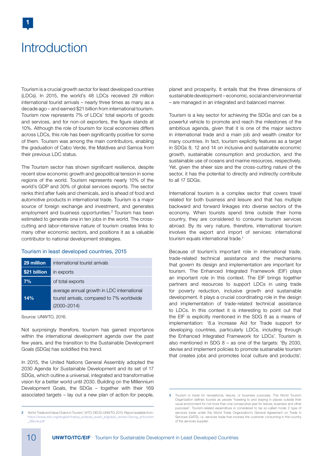## **Introduction**

1

Tourism is a crucial growth sector for least developed countries (LDCs). In 2015, the world's 48 LDCs received 29 million international tourist arrivals – nearly three times as many as a decade ago – and earned \$21 billion from international tourism. Tourism now represents 7% of LDCs' total exports of goods and services, and for non-oil exporters, the figure stands at 10%. Although the role of tourism for local economies differs across LDCs, this role has been significantly positive for some of them. Tourism was among the main contributors, enabling the graduation of Cabo Verde, the Maldives and Samoa from their previous LDC status.

The Tourism sector has shown significant resilience, despite recent slow economic growth and geopolitical tension in some regions of the world. Tourism represents nearly 10% of the world's GDP and 30% of global services exports. The sector ranks third after fuels and chemicals, and is ahead of food and automotive products in international trade. Tourism is a major source of foreign exchange and investment, and generates employment and business opportunities.<sup>2</sup> Tourism has been estimated to generate one in ten jobs in the world. The crosscutting and labor-intensive nature of tourism creates links to many other economic sectors, and positions it as a valuable contributor to national development strategies.

#### Tourism in least developed countries, 2015

| 29 million   | international tourist arrivals                                                                              |  |  |  |
|--------------|-------------------------------------------------------------------------------------------------------------|--|--|--|
| \$21 billion | in exports                                                                                                  |  |  |  |
| 7%           | of total exports                                                                                            |  |  |  |
| 14%          | average annual growth in LDC international<br>tourist arrivals, compared to 7% worldwide<br>$(2000 - 2014)$ |  |  |  |

Source: UNWTO, 2016.

Not surprisingly therefore, tourism has gained importance within the international development agenda over the past few years, and the transition to the Sustainable Development Goals (SDGs) has solidified this trend.

In 2015, the United Nations General Assembly adopted the 2030 Agenda for Sustainable Development and its set of 17 SDGs, which outline a universal, integrated and transformative vision for a better world until 2030. Building on the Millennium Development Goals, the SDGs – together with their 169 associated targets – lay out a new plan of action for people, planet and prosperity. It entails that the three dimensions of sustainable development – economic, social and environmental – are managed in an integrated and balanced manner.

Tourism is a key sector for achieving the SDGs and can be a powerful vehicle to promote and reach the milestones of the ambitious agenda, given that it is one of the major sectors in international trade and a main job and wealth creator for many countries. In fact, tourism explicitly features as a target in SDGs 8, 12 and 14 on inclusive and sustainable economic growth, sustainable consumption and production, and the sustainable use of oceans and marine resources, respectively. Yet, given the sheer size and the cross-cutting nature of the sector, it has the potential to directly and indirectly contribute to all 17 SDGs.

International tourism is a complex sector that covers travel related for both business and leisure and that has multiple backward and forward linkages into diverse sectors of the economy. When tourists spend time outside their home country, they are considered to consume tourism services abroad. By its very nature, therefore, international tourism involves the export and import of services: international tourism equals international trade.<sup>3</sup>

Because of tourism's important role in international trade, trade-related technical assistance and the mechanisms that govern its design and implementation are important for tourism. The Enhanced Integrated Framework (EIF) plays an important role in this context. The EIF brings together partners and resources to support LDCs in using trade for poverty reduction, inclusive growth and sustainable development. It plays a crucial coordinating role in the design and implementation of trade-related technical assistance to LDCs. In this context it is interesting to point out that the EIF is explicitly mentioned in the SDG 8 as a means of implementation: '8.a Increase Aid for Trade support for developing countries, particularly LDCs, including through the Enhanced Integrated Framework for LDCs'. Tourism is also mentioned in SDG 8 – as one of the targets: 'By 2030, devise and implement policies to promote sustainable tourism that creates jobs and promotes local culture and products'.

<sup>2</sup> 'Aid for Trade and Value Chains in Tourism', WTO-OECD-UNWTO, 2013. Report available from: https://www.wto.org/english/tratop\_e/devel\_e/a4t\_e/global\_review13prog\_e/tourism \_28june.pdf

<sup>3</sup> Tourism is travel for recreational, leisure, or business purposes. The World Tourism Organization defines tourists as people "traveling to and staying in places outside their usual environment for not more than one consecutive year for leisure, business and other purposes". Tourism-related expenditure is considered to be so-called mode 2 type of services trade under the World Trade Organization's General Agreement on Trade in Services (GATS), i.e. services trade that involves the customer consuming in the country of the services supplier.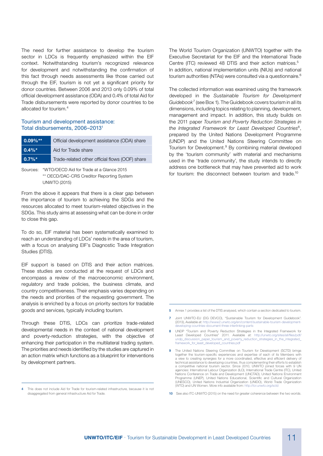The need for further assistance to develop the tourism sector in LDCs is frequently emphasized within the EIF context. Notwithstanding tourism's recognized relevance for development and notwithstanding the confirmation of this fact through needs assessments like those carried out through the EIF, tourism is not yet a significant priority for donor countries. Between 2006 and 2013 only 0.09% of total official development assistance (ODA) and 0.4% of total Aid for Trade disbursements were reported by donor countries to be allocated for tourism.4

#### Tourism and development assistance: Total disbursements, 2006–20131

| $0.09\%**$ | Official development assistance (ODA) share    |  |  |  |
|------------|------------------------------------------------|--|--|--|
| $0.4\%$ *  | Aid for Trade share                            |  |  |  |
| $ 0.7\%*$  | Trade-related other official flows (OOF) share |  |  |  |

Sources: \*WTO/OECD Aid for Trade at a Glance 2015 \*\* OECD/DAC-CRS Creditor Reporting System UNWTO (2015)

From the above it appears that there is a clear gap between the importance of tourism to achieving the SDGs and the resources allocated to meet tourism-related objectives in the SDGs. This study aims at assessing what can be done in order to close this gap.

To do so, EIF material has been systematically examined to reach an understanding of LDCs' needs in the area of tourism, with a focus on analysing EIF's Diagnostic Trade Integration Studies (DTIS).

EIF support is based on DTIS and their action matrices. These studies are conducted at the request of LDCs and encompass a review of the macroeconomic environment, regulatory and trade policies, the business climate, and country competitiveness. Their emphasis varies depending on the needs and priorities of the requesting government. The analysis is enriched by a focus on priority sectors for tradable goods and services, typically including tourism.

Through these DTIS, LDCs can prioritize trade-related developmental needs in the context of national development and poverty-reduction strategies, with the objective of enhancing their participation in the multilateral trading system. The priorities and needs identified by the studies are captured in an action matrix which functions as a blueprint for interventions by development partners.

The World Tourism Organization (UNWTO) together with the Executive Secretariat for the EIF and the International Trade Centre (ITC) reviewed 48 DTIS and their action matrices.<sup>5</sup> In addition, national implementation units (NIUs) and national tourism authorities (NTAs) were consulted via a questionnaire.<sup>6</sup>

The collected information was examined using the framework developed in the Sustainable Tourism for Development Guidebook<sup>7</sup> (see Box 1). The Guidebook covers tourism in all its dimensions, including topics relating to planning, development, management and impact. In addition, this study builds on the 2011 paper Tourism and Poverty Reduction Strategies in the Integrated Framework for Least Developed Countries $8$ , prepared by the United Nations Development Programme (UNDP) and the United Nations Steering Committee on Tourism for Development.<sup>9</sup> By combining material developed by the 'tourism community' with material and mechanisms used in the 'trade community', the study intends to directly address one bottleneck that may have prevented aid to work for tourism: the disconnect between tourism and trade.<sup>10</sup>

- 5 Annex 1 provides a list of the DTIS analysed, which contain a section dedicated to tourism.
- 7 Joint UNWTO-EU (DG DEVCO), "Sustainable Tourism for Development Guidebook". (2013), Available at: http://www2.unwto.org/en/content/sustainable-tourism-developmentdeveloping-countries-document-three-interlinking-parts
- 8 UNDP "Tourism and Poverty Reduction Strategies in the Integrated Framework for Least Developed Countries" 2011. Available at: http://unwto.org/sites/all/files/pdf/ undp\_discussion\_paper\_tourism\_and\_poverty\_reduction\_strategies\_in\_the\_integrated\_ framework\_for\_least\_developed\_countries.pdf
- 9 The United Nations Steering Committee on Tourism for Development (SCTD) brings together the tourism-specific experiences and expertise of each of its Members with a view to creating synergies for a more coordinated, effective and efficient delivery of technical assistance to developing countries, thus complementing their efforts to establish a competitive national tourism sector. Since 2010, UNWTO joined forces with 9 UN agencies: International Labour Organization (ILO), International Trade Centre (ITC), United Nations Conference on Trade and Development (UNCTAD), United Nations Environment Programme (UNEP), United Nations Educational, Scientific and Cultural Organization (UNESCO), United Nations Industrial Organization (UNIDO), World Trade Organization (WTO) and UN Women. More info available from: http://icr.un
- 10 See also ITC-UNWTO (2015) on the need for greater coherence between the two worlds.

<sup>4</sup> This does not include Aid for Trade for tourism-related infrastructure, because it is not disaggregated from general infrastructure Aid for Trade.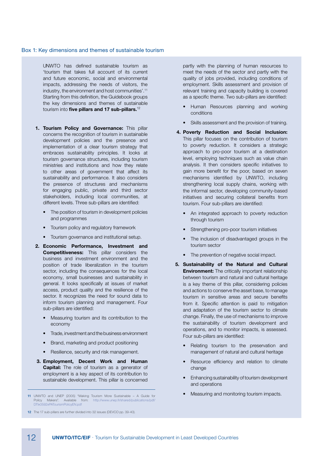#### Box 1: Key dimensions and themes of sustainable tourism

UNWTO has defined sustainable tourism as 'tourism that takes full account of its current and future economic, social and environmental impacts, addressing the needs of visitors, the industry, the environment and host communities'.11 Starting from this definition, the Guidebook groups the key dimensions and themes of sustainable tourism into five pillars and 17 sub-pillars. $12$ 

- 1. Tourism Policy and Governance: This pillar concerns the recognition of tourism in sustainable development policies and the presence and implementation of a clear tourism strategy that embraces sustainability principles. It looks at tourism governance structures, including tourism ministries and institutions and how they relate to other areas of government that affect its sustainability and performance. It also considers the presence of structures and mechanisms for engaging public, private and third sector stakeholders, including local communities, at different levels. Three sub-pillars are identified:
	- The position of tourism in development policies and programmes
	- Tourism policy and regulatory framework
	- Tourism governance and institutional setup.
- 2. Economic Performance, Investment and **Competitiveness:** This pillar considers the business and investment environment and the position of trade liberalization in the tourism sector, including the consequences for the local economy, small businesses and sustainability in general. It looks specifically at issues of market access, product quality and the resilience of the sector. It recognizes the need for sound data to inform tourism planning and management. Four sub-pillars are identified:
	- Measuring tourism and its contribution to the economy
	- Trade, investment and the business environment
	- Brand, marketing and product positioning
	- Resilience, security and risk management.
- 3. Employment, Decent Work and Human **Capital:** The role of tourism as a generator of employment is a key aspect of its contribution to sustainable development. This pillar is concerned

partly with the planning of human resources to meet the needs of the sector and partly with the quality of jobs provided, including conditions of employment. Skills assessment and provision of relevant training and capacity building is covered as a specific theme. Two sub-pillars are identified:

- Human Resources planning and working conditions
- Skills assessment and the provision of training.
- 4. Poverty Reduction and Social Inclusion: This pillar focuses on the contribution of tourism to poverty reduction. It considers a strategic approach to pro-poor tourism at a destination level, employing techniques such as value chain analysis. It then considers specific initiatives to gain more benefit for the poor, based on seven mechanisms identified by UNWTO, including strengthening local supply chains, working with the informal sector, developing community-based initiatives and securing collateral benefits from tourism. Four sub-pillars are identified:
	- An integrated approach to poverty reduction through tourism
	- Strengthening pro-poor tourism initiatives
	- The inclusion of disadvantaged groups in the tourism sector
	- The prevention of negative social impact.
- 5. Sustainability of the Natural and Cultural **Environment:** The critically important relationship between tourism and natural and cultural heritage is a key theme of this pillar, considering policies and actions to conserve the asset base, to manage tourism in sensitive areas and secure benefits from it. Specific attention is paid to mitigation and adaptation of the tourism sector to climate change. Finally, the use of mechanisms to improve the sustainability of tourism development and operations, and to monitor impacts, is assessed. Four sub-pillars are identified:
	- Relating tourism to the preservation and management of natural and cultural heritage
	- Resource efficiency and relation to climate change
	- Enhancing sustainability of tourism development and operations
	- Measuring and monitoring tourism impacts.

<sup>11</sup> UNWTO and UNEP (2005) "Making Tourism More Sustainable – A Guide for Policy Makers". Available from: http://www.unep.fr/shared/publications/pdf/ DTIx0592xPATourismPolicyEN.pdf

<sup>12</sup> The 17 sub-pillars are further divided into 32 issues (DEVCO pp. 39-40).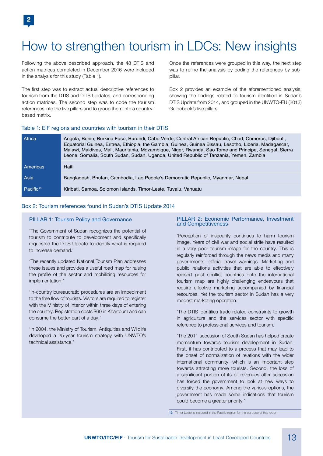# How to strengthen tourism in LDCs: New insights

Following the above described approach, the 48 DTIS and action matrices completed in December 2016 were included in the analysis for this study (Table 1).

The first step was to extract actual descriptive references to tourism from the DTIS and DTIS Updates, and corresponding action matrices. The second step was to code the tourism references into the five pillars and to group them into a countrybased matrix.

Once the references were grouped in this way, the next step was to refine the analysis by coding the references by subpillar.

Box 2 provides an example of the aforementioned analysis, showing the findings related to tourism identified in Sudan's DTIS Update from 2014, and grouped in the UNWTO-EU (2013) Guidebook's five pillars.

## Table 1: EIF regions and countries with tourism in their DTIS

| <b>Africa</b>         | Angola, Benin, Burkina Faso, Burundi, Cabo Verde, Central African Republic, Chad, Comoros, Djibouti,<br>Equatorial Guinea, Eritrea, Ethiopia, the Gambia, Guinea, Guinea Bissau, Lesotho, Liberia, Madagascar,<br>Malawi, Maldives, Mali, Mauritania, Mozambique, Niger, Rwanda, Sao Tome and Principe, Senegal, Sierra<br>Leone, Somalia, South Sudan, Sudan, Uganda, United Republic of Tanzania, Yemen, Zambia |
|-----------------------|-------------------------------------------------------------------------------------------------------------------------------------------------------------------------------------------------------------------------------------------------------------------------------------------------------------------------------------------------------------------------------------------------------------------|
| Americas              | Haiti                                                                                                                                                                                                                                                                                                                                                                                                             |
| <b>Asia</b>           | Bangladesh, Bhutan, Cambodia, Lao People's Democratic Republic, Myanmar, Nepal                                                                                                                                                                                                                                                                                                                                    |
| Pacific <sup>13</sup> | Kiribati, Samoa, Solomon Islands, Timor-Leste, Tuvalu, Vanuatu                                                                                                                                                                                                                                                                                                                                                    |

#### Box 2: Tourism references found in Sudan's DTIS Update 2014

#### PILLAR 1: Tourism Policy and Governance

'The Government of Sudan recognizes the potential of tourism to contribute to development and specifically requested the DTIS Update to identify what is required to increase demand.'

'The recently updated National Tourism Plan addresses these issues and provides a useful road map for raising the profile of the sector and mobilizing resources for implementation.'

'In-country bureaucratic procedures are an impediment to the free flow of tourists. Visitors are required to register with the Ministry of Interior within three days of entering the country. Registration costs \$60 in Khartoum and can consume the better part of a day.'

'In 2004, the Ministry of Tourism, Antiquities and Wildlife developed a 25-year tourism strategy with UNWTO's technical assistance.'

#### PILLAR 2: Economic Performance, Investment and Competitiveness

'Perception of insecurity continues to harm tourism image. Years of civil war and social strife have resulted in a very poor tourism image for the country. This is regularly reinforced through the news media and many governments' official travel warnings. Marketing and public relations activities that are able to effectively reinsert post conflict countries onto the international tourism map are highly challenging endeavours that require effective marketing accompanied by financial resources. Yet the tourism sector in Sudan has a very modest marketing operation.'

'The DTIS identifies trade-related constraints to growth in agriculture and the services sector with specific reference to professional services and tourism.'

'The 2011 secession of South Sudan has helped create momentum towards tourism development in Sudan. First, it has contributed to a process that may lead to the onset of normalization of relations with the wider international community, which is an important step towards attracting more tourists. Second, the loss of a significant portion of its oil revenues after secession has forced the government to look at new ways to diversify the economy. Among the various options, the government has made some indications that tourism could become a greater priority.'

13 Timor Leste is included in the Pacific region for the purpose of this report.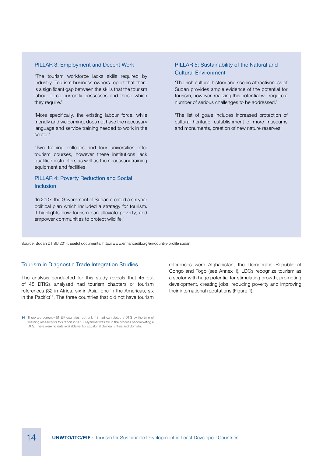#### PILLAR 3: Employment and Decent Work

'The tourism workforce lacks skills required by industry. Tourism business owners report that there is a significant gap between the skills that the tourism labour force currently possesses and those which they require.'

'More specifically, the existing labour force, while friendly and welcoming, does not have the necessary language and service training needed to work in the sector.'

'Two training colleges and four universities offer tourism courses, however these institutions lack qualified instructors as well as the necessary training equipment and facilities.'

## PILLAR 4: Poverty Reduction and Social Inclusion

'In 2007, the Government of Sudan created a six year political plan which included a strategy for tourism. It highlights how tourism can alleviate poverty, and empower communities to protect wildlife.'

### PILLAR 5: Sustainability of the Natural and Cultural Environment

'The rich cultural history and scenic attractiveness of Sudan provides ample evidence of the potential for tourism, however, realizing this potential will require a number of serious challenges to be addressed.'

'The list of goals includes increased protection of cultural heritage, establishment of more museums and monuments, creation of new nature reserves.'

Source: Sudan DTISU 2014, useful documents: http://www.enhancedif.org/en/country-profile sudan

#### Tourism in Diagnostic Trade Integration Studies

The analysis conducted for this study reveals that 45 out of 48 DTISs analysed had tourism chapters or tourism references (32 in Africa, six in Asia, one in the Americas, six in the Pacific)<sup>14</sup>. The three countries that did not have tourism references were Afghanistan, the Democratic Republic of Congo and Togo (see Annex 1). LDCs recognize tourism as a sector with huge potential for stimulating growth, promoting development, creating jobs, reducing poverty and improving their international reputations (Figure 1).

<sup>14</sup> There are currently 51 EIF countries, but only 48 had completed a DTIS by the time of finalizing research for this report in 2016. Myanmar was still in the process of completing a DTIS. There were no data available yet for Equatorial Guinea, Eritrea and Somalia.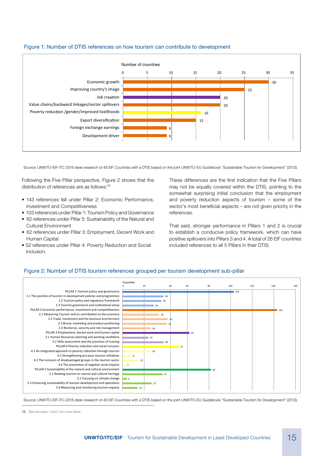

## Figure 1: Number of DTIS references on how tourism can contribute to development

Source: UNWTO-EIF-ITC 2016 desk research of 48 EIF Countries with a DTIS based on the joint UNWTO-EU Guidebook "Sustainable Tourism for Development" (2013).

Following the Five Pillar perspective, Figure 2 shows that the distribution of references are as follows:<sup>15</sup>

- 143 references fall under Pillar 2: Economic Performance, Investment and Competitiveness
- 103 references under Pillar 1: Tourism Policy and Governance
- 82 references under Pillar 5: Sustainability of the Natural and Cultural Environment
- 62 references under Pillar 3: Employment, Decent Work and Human Capital
- 52 references under Pillar 4: Poverty Reduction and Social Inclusion.

These differences are the first indication that the Five Pillars may not be equally covered within the DTIS, pointing to the somewhat surprising initial conclusion that the employment and poverty reduction aspects of tourism – some of the sector's most beneficial aspects – are not given priority in the references.

That said, stronger performance in Pillars 1 and 2 is crucial to establish a conducive policy framework, which can have positive spillovers into Pillars 3 and 4. A total of 26 EIF countries included references to all 5 Pillars in their DTIS.

## Figure 2: Number of DTIS tourism references grouped per tourism development sub-pillar Figure 2: Number of DTIS tourism references grouped per tourism development sub-pillar



Source: UNWTO-EIF-ITC 2016 desk research of 48 EIF Countries with a DTIS based on the joint UNWTO-EU Guidebook "Sustainable Tourism for Development" (2013).

<sup>15</sup> See Annexes 1 and 2 for more detail.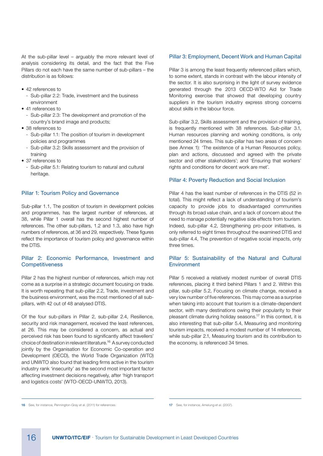At the sub-pillar level – arguably the more relevant level of analysis considering its detail, and the fact that the Five Pillars do not each have the same number of sub-pillars – the distribution is as follows:

- 42 references to
	- Sub-pillar 2.2: Trade, investment and the business environment
- 41 references to
	- Sub-pillar 2.3: The development and promotion of the country's brand image and products;
- 38 references to
	- Sub-pillar 1.1: The position of tourism in development policies and programmes
	- Sub-pillar 3.2: Skills assessment and the provision of training
- 37 references to
	- Sub-pillar 5.1: Relating tourism to natural and cultural heritage.

#### Pillar 1: Tourism Policy and Governance

Sub-pillar 1.1, The position of tourism in development policies and programmes, has the largest number of references, at 38, while Pillar 1 overall has the second highest number of references. The other sub-pillars, 1.2 and 1.3, also have high numbers of references, at 36 and 29, respectively. These figures reflect the importance of tourism policy and governance within the DTIS.

#### Pillar 2: Economic Performance, Investment and **Competitiveness**

Pillar 2 has the highest number of references, which may not come as a surprise in a strategic document focusing on trade. It is worth repeating that sub-pillar 2.2, Trade, investment and the business environment, was the most mentioned of all subpillars, with 42 out of 48 analysed DTIS.

Of the four sub-pillars in Pillar 2, sub-pillar 2.4, Resilience, security and risk management, received the least references, at 26. This may be considered a concern, as actual and perceived risk has been found to significantly affect travellers' choice of destination in relevant literature.<sup>16</sup> A survey conducted jointly by the Organisation for Economic Co-operation and Development (OECD), the World Trade Organization (WTO) and UNWTO also found that leading firms active in the tourism industry rank 'insecurity' as the second most important factor affecting investment decisions negatively, after 'high transport and logistics costs' (WTO-OECD-UNWTO, 2013).

#### Pillar 3: Employment, Decent Work and Human Capital

Pillar 3 is among the least frequently referenced pillars which, to some extent, stands in contrast with the labour intensity of the sector. It is also surprising in the light of survey evidence generated through the 2013 OECD-WTO Aid for Trade Monitoring exercise that showed that developing country suppliers in the tourism industry express strong concerns about skills in the labour force.

Sub-pillar 3.2, Skills assessment and the provision of training, is frequently mentioned with 38 references. Sub-pillar 3.1, Human resources planning and working conditions, is only mentioned 24 times. This sub-pillar has two areas of concern (see Annex 1): 'The existence of a Human Resources policy, plan and actions, discussed and agreed with the private sector and other stakeholders'; and 'Ensuring that workers' rights and conditions for decent work are met'.

#### Pillar 4: Poverty Reduction and Social Inclusion

Pillar 4 has the least number of references in the DTIS (52 in total). This might reflect a lack of understanding of tourism's capacity to provide jobs to disadvantaged communities through its broad value chain, and a lack of concern about the need to manage potentially negative side effects from tourism. Indeed, sub-pillar 4.2, Strengthening pro-poor initiatives, is only referred to eight times throughout the examined DTIS and sub-pillar 4.4, The prevention of negative social impacts, only three times.

#### Pillar 5: Sustainability of the Natural and Cultural Environment

Pillar 5 received a relatively modest number of overall DTIS references, placing it third behind Pillars 1 and 2. Within this pillar, sub-pillar 5.2, Focusing on climate change, received a very low number of five references. This may come as a surprise when taking into account that tourism is a climate-dependent sector, with many destinations owing their popularity to their pleasant climate during holiday seasons.<sup>17</sup> In this context, it is also interesting that sub-pillar 5.4, Measuring and monitoring tourism impacts, received a modest number of 14 references, while sub-pillar 2.1, Measuring tourism and its contribution to the economy, is referenced 34 times.

<sup>16</sup> See, for instance, Pennington-Gray et al. (2011) for references.

<sup>17</sup> See, for instance, Amelung et al. (2007).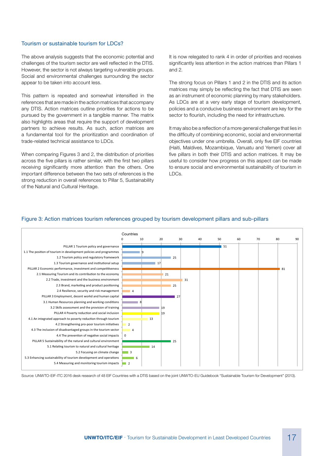#### Tourism or sustainable tourism for LDCs?

The above analysis suggests that the economic potential and challenges of the tourism sector are well reflected in the DTIS. However, the sector is not always targeting vulnerable groups. Social and environmental challenges surrounding the sector appear to be taken into account less.

This pattern is repeated and somewhat intensified in the references that are made in the action matrices that accompany any DTIS. Action matrices outline priorities for actions to be pursued by the government in a tangible manner. The matrix also highlights areas that require the support of development partners to achieve results. As such, action matrices are a fundamental tool for the prioritization and coordination of trade-related technical assistance to LDCs.

When comparing Figures 3 and 2, the distribution of priorities across the five pillars is rather similar, with the first two pillars receiving significantly more attention than the others. One important difference between the two sets of references is the strong reduction in overall references to Pillar 5, Sustainability of the Natural and Cultural Heritage.

It is now relegated to rank 4 in order of priorities and receives significantly less attention in the action matrices than Pillars 1 and 2.

The strong focus on Pillars 1 and 2 in the DTIS and its action matrices may simply be reflecting the fact that DTIS are seen as an instrument of economic planning by many stakeholders. As LDCs are at a very early stage of tourism development, policies and a conducive business environment are key for the sector to flourish, including the need for infrastructure.

It may also be a reflection of a more general challenge that lies in the difficulty of combining economic, social and environmental objectives under one umbrella. Overall, only five EIF countries (Haiti, Maldives, Mozambique, Vanuatu and Yemen) cover all five pillars in both their DTIS and action matrices. It may be useful to consider how progress on this aspect can be made to ensure social and environmental sustainability of tourism in LDCs.



### Figure 3: Action matrices tourism references grouped by tourism development pillars and sub-pillars

Source: UNWTO-EIF-ITC 2016 desk research of 48 EIF Countries with a DTIS based on the joint UNWTO-EU Guidebook "Sustainable Tourism for Development" (2013).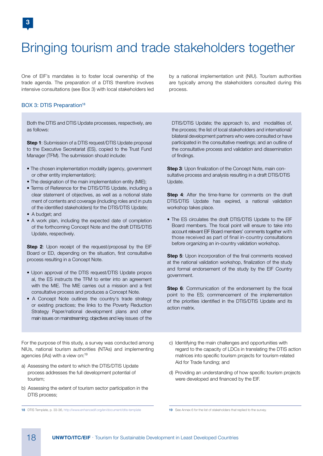# Bringing tourism and trade stakeholders together

One of EIF's mandates is to foster local ownership of the trade agenda. The preparation of a DTIS therefore involves intensive consultations (see Box 3) with local stakeholders led

#### BOX 3: DTIS Preparation<sup>18</sup>

Both the DTIS and DTIS Update processes, respectively, are as follows:

**Step 1:** Submission of a DTIS request/DTIS Update proposal to the Executive Secretariat (ES), copied to the Trust Fund Manager (TFM). The submission should include:

- The chosen implementation modality (agency, government or other entity implementation);
- The designation of the main implementation entity (MIE);
- Terms of Reference for the DTIS/DTIS Update, including a clear statement of objectives, as well as a notional state ment of contents and coverage (including roles and in puts of the identified stakeholders) for the DTIS/DTIS Update;
- A budget; and
- A work plan, including the expected date of completion of the forthcoming Concept Note and the draft DTIS/DTIS Update, respectively.

Step 2: Upon receipt of the request/proposal by the EIF Board or ED, depending on the situation, first consultative process resulting in a Concept Note.

- Upon approval of the DTIS request/DTIS Update propos al, the ES instructs the TFM to enter into an agreement with the MIE. The MIE carries out a mission and a first consultative process and produces a Concept Note.
- A Concept Note outlines the country's trade strategy or existing practices; the links to the Poverty Reduction Strategy Paper/national development plans and other main issues on mainstreaming; objectives and key issues of the

For the purpose of this study, a survey was conducted among NIUs, national tourism authorities (NTAs) and implementing agencies (IAs) with a view on:<sup>19</sup>

- a) Assessing the extent to which the DTIS/DTIS Update process addresses the full development potential of tourism;
- b) Assessing the extent of tourism sector participation in the DTIS process;
- 18 DTIS Template, p. 33-36, http://www.enhancedif.org/en/document/dtis-template 19 See Annex 6 for the list of stakeholders that replied to the survey.

by a national implementation unit (NIU). Tourism authorities are typically among the stakeholders consulted during this process.

DTIS/DTIS Update; the approach to, and modalities of, the process; the list of local stakeholders and international/ bilateral development partners who were consulted or have participated in the consultative meetings; and an outline of the consultative process and validation and dissemination of findings.

Step 3: Upon finalization of the Concept Note, main consultative process and analysis resulting in a draft DTIS/DTIS Update.

Step 4: After the time-frame for comments on the draft DTIS/DTIS Update has expired, a national validation workshop takes place.

• The ES circulates the draft DTIS/DTIS Update to the EIF Board members. The focal point will ensure to take into account relevant EIF Board members' comments together with those received as part of final in-country consultations before organizing an in-country validation workshop.

Step 5: Upon incorporation of the final comments received at the national validation workshop, finalization of the study and formal endorsement of the study by the EIF Country government.

Step 6: Communication of the endorsement by the focal point to the ES; commencement of the implementation of the priorities identified in the DTIS/DTIS Update and its action matrix.

- c) Identifying the main challenges and opportunities with regard to the capacity of LDCs in translating the DTIS action matrices into specific tourism projects for tourism-related Aid for Trade funding; and
- d) Providing an understanding of how specific tourism projects were developed and financed by the EIF.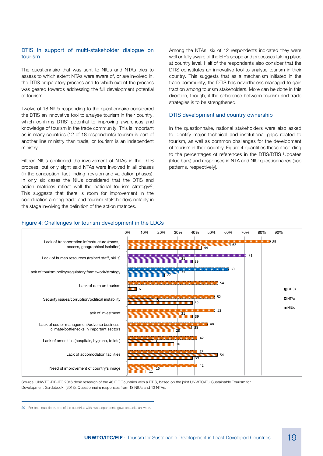#### DTIS in support of multi-stakeholder dialogue on tourism

The questionnaire that was sent to NIUs and NTAs tries to assess to which extent NTAs were aware of, or are involved in, the DTIS preparatory process and to which extent the process was geared towards addressing the full development potential of tourism.

Twelve of 18 NIUs responding to the questionnaire considered the DTIS an innovative tool to analyse tourism in their country, which confirms DTIS' potential to improving awareness and knowledge of tourism in the trade community. This is important as in many countries (12 of 18 respondents) tourism is part of another line ministry than trade, or tourism is an independent ministry.

Fifteen NIUs confirmed the involvement of NTAs in the DTIS process, but only eight said NTAs were involved in all phases (in the conception, fact finding, revision and validation phases). In only six cases the NIUs considered that the DTIS and action matrices reflect well the national tourism strategy<sup>20</sup>. This suggests that there is room for improvement in the coordination among trade and tourism stakeholders notably in the stage involving the definition of the action matrices.

Among the NTAs, six of 12 respondents indicated they were well or fully aware of the EIF's scope and processes taking place at country level. Half of the respondents also consider that the DTIS constitutes an innovative tool to analyse tourism in their country. This suggests that as a mechanism initiated in the trade community, the DTIS has nevertheless managed to gain traction among tourism stakeholders. More can be done in this direction, though, if the coherence between tourism and trade strategies is to be strengthened.

#### DTIS development and country ownership

In the questionnaire, national stakeholders were also asked to identify major technical and institutional gaps related to tourism, as well as common challenges for the development of tourism in their country. Figure 4 quantifies these according to the percentages of references in the DTIS/DTIS Updates (blue bars) and responses in NTA and NIU questionnaires (see patterns, respectively).

## Figure 4: Challenges for tourism development in the LDCs Figure 4: Challenges for tourism development in the LDCs



Source: UNWTO-EIF-ITC 2016 desk research of the 48 EIF Countries with a DTIS, based on the joint UNWTO/EU Sustainable Tourism for Development Guidebook' (2013). Questionnaire responses from 18 NIUs and 13 NTAs. Development Guidebook' (2013). Questionnaire responses from 18 NIUs and 13 NTAs.

<sup>20</sup> For both questions, one of the countries with two respondents gave opposite answers.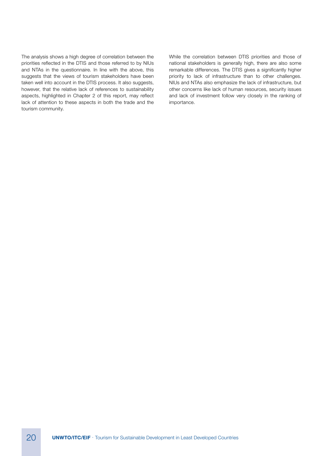The analysis shows a high degree of correlation between the priorities reflected in the DTIS and those referred to by NIUs and NTAs in the questionnaire. In line with the above, this suggests that the views of tourism stakeholders have been taken well into account in the DTIS process. It also suggests, however, that the relative lack of references to sustainability aspects, highlighted in Chapter 2 of this report, may reflect lack of attention to these aspects in both the trade and the tourism community.

While the correlation between DTIS priorities and those of national stakeholders is generally high, there are also some remarkable differences. The DTIS gives a significantly higher priority to lack of infrastructure than to other challenges. NIUs and NTAs also emphasize the lack of infrastructure, but other concerns like lack of human resources, security issues and lack of investment follow very closely in the ranking of importance.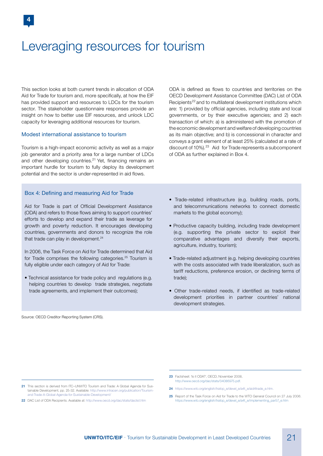## Leveraging resources for tourism

This section looks at both current trends in allocation of ODA Aid for Trade for tourism and, more specifically, at how the EIF has provided support and resources to LDCs for the tourism sector. The stakeholder questionnaire responses provide an insight on how to better use EIF resources, and unlock LDC capacity for leveraging additional resources for tourism.

#### Modest international assistance to tourism

Tourism is a high-impact economic activity as well as a major job generator and a priority area for a large number of LDCs and other developing countries.<sup>21</sup> Yet, financing remains an important hurdle for tourism to fully deploy its development potential and the sector is under-represented in aid flows.

Box 4: Defining and measuring Aid for Trade

Aid for Trade is part of Official Development Assistance (ODA) and refers to those flows aiming to support countries' efforts to develop and expand their trade as leverage for growth and poverty reduction. It encourages developing countries, governments and donors to recognize the role that trade can play in development.<sup>24</sup>

In 2006, the Task Force on Aid for Trade determined that Aid for Trade comprises the following categories.<sup>25</sup> Tourism is fully eligible under each category of Aid for Trade:

• Technical assistance for trade policy and regulations (e.g. helping countries to develop trade strategies, negotiate trade agreements, and implement their outcomes);

ODA is defined as flows to countries and territories on the OECD Development Assistance Committee (DAC) List of ODA Recipients 22 and to multilateral development institutions which are: 1) provided by official agencies, including state and local governments, or by their executive agencies; and 2) each transaction of which: a) is administered with the promotion of the economic development and welfare of developing countries as its main objective; and b) is concessional in character and conveys a grant element of at least 25% (calculated at a rate of discount of 10%).<sup>23</sup> Aid for Trade represents a subcomponent of ODA as further explained in Box 4.

- Trade-related infrastructure (e.g. building roads, ports, and telecommunications networks to connect domestic markets to the global economy);
- Productive capacity building, including trade development (e.g. supporting the private sector to exploit their comparative advantages and diversify their exports, agriculture, industry, tourism);
- Trade-related adjustment (e.g. helping developing countries with the costs associated with trade liberalization, such as tariff reductions, preference erosion, or declining terms of trade);
- Other trade-related needs, if identified as trade-related development priorities in partner countries' national development strategies.

Source: OECD Creditor Reporting System (CRS).

- 23 Factsheet: 'Is it ODA?', OECD, November 2008 http://www.oecd.org/dac/stats/34086975.pdf.
- 24 https://www.wto.org/english/tratop\_e/devel\_e/a4t\_e/aid4trade\_e.htm
- 25 Report of the Task Force on Aid for Trade to the WTO General Council on 27 July 2006. https://www.wto.org/english/tratop\_e/devel\_e/a4t\_e/implementing\_par57\_e.htm

22 DAC List of ODA Recipients. Available at: http://www.oecd.org/dac/stats/daclist.htm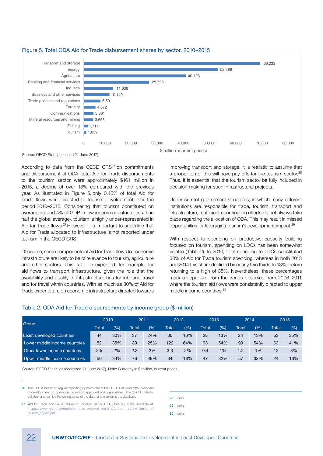

#### Figure 5. Total ODA Aid for Trade disbursement shares by sector, 2010–2015

According to data from the OECD CRS<sup>26</sup> on commitments and disbursement of ODA, total Aid for Trade disbursements to the tourism sector were approximately \$161 million in 2015, a decline of over 18% compared with the previous year. As illustrated in Figure 5, only 0.46% of total Aid for Trade flows were directed to tourism development over the period 2010-2015. Considering that tourism constituted on average around 4% of GDP in low income countries (less than half the global average), tourism is highly under-represented in Aid for Trade flows.27 However it is important to underline that Aid for Trade allocated to infrastructure is not reported under tourism in the OECD CRS.

Of course, some components of Aid for Trade flows to economic infrastructure are likely to be of relevance to tourism, agriculture and other sectors. This is to be expected, for example, for aid flows to transport infrastructure, given the role that the availability and quality of infrastructure has for inbound travel and for travel within countries. With as much as 30% of Aid for Trade expenditure on economic infrastructure directed towards

improving transport and storage, it is realistic to assume that a proportion of this will have pay-offs for the tourism sector.<sup>28</sup> Thus, it is essential that the tourism sector be fully included in decision-making for such infrastructural projects.

Under current government structures, in which many different institutions are responsible for trade, tourism, transport and infrastructure, sufficient coordination efforts do not always take place regarding the allocation of ODA. This may result in missed opportunities for leveraging tourism's development impact.29

With respect to spending on productive capacity building focused on tourism, spending on LDCs has been somewhat volatile (Table 2). In 2010, total spending to LDCs constituted 30% of Aid for Trade tourism spending, whereas in both 2013 and 2014 this share declined by nearly two thirds to 13%, before returning to a high of 35%. Nevertheless, these percentages mark a departure from the trends observed from 2006–2011 where the tourism aid flows were consistently directed to upper middle income countries. $30$ 

### Table 2: ODA Aid for Trade disbursements by income group (\$ million)

|                               | 2010  |     | 2011  |     | 2012  |     | 2013  |       | 2014  |     | 2015  |     |
|-------------------------------|-------|-----|-------|-----|-------|-----|-------|-------|-------|-----|-------|-----|
| Group                         | Total | (%) | Total | (%) | Total | (%) | Total | (%)   | Total | (%) | Total | (%) |
| Least developed countries     | 44    | 30% | 37    | 24% | 30    | 16% | 28    | 13%   | 24    | 13% | 53    | 35% |
| Lower middle income countries | 52    | 35% | 39    | 25% | 122   | 64% | 93    | 54%   | 99    | 54% | 63    | 41% |
| Other lower income countries  | 2.5   | 2%  | 2.3   | 2%  | 3.3   | 2%  | 0.4   | $1\%$ | 1.2   | 1%  | 12    | 8%  |
| Upper middle income countries | 50    | 34% | 76    | 49% | 34    | 18% | 47    | 32%   | 57    | 32% | 24    | 16% |

Source: OECD Statistics (accessed 21 June 2017). Note: Currency in \$ million, current prices.

26 The CRS is based on regular reporting by members of the OECD DAC and other providers of development co-operation, based on approved policy guidelines. The OECD collects, collates, and verifies the consistency of the data, and maintains the database

27 'Aid for Trade and Value Chains in Tourism', WTO-OECD-UNWTO, 2013. Available at: https://www.wto.org/english/tratop\_e/devel\_e/a4t\_e/global\_review13prog\_e/ tourism\_28june.pdf.

28 Idem.

29 Idem.

30 Idem.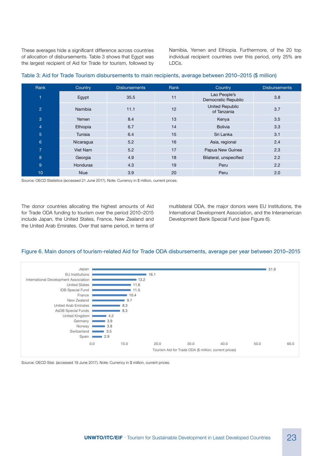These averages hide a significant difference across countries of allocation of disbursements. Table 3 shows that Egypt was the largest recipient of Aid for Trade for tourism, followed by Namibia, Yemen and Ethiopia. Furthermore, of the 20 top individual recipient countries over this period, only 25% are LDCs.

| Rank            | Country     | <b>Disbursements</b> | Rank                                        | Country                             | <b>Disbursements</b> |
|-----------------|-------------|----------------------|---------------------------------------------|-------------------------------------|----------------------|
| 1               | Egypt       | 35.5                 | 11                                          | Lao People's<br>Democratic Republic | 3.8                  |
| 2               | Namibia     | 11.1                 | <b>United Republic</b><br>12<br>of Tanzania |                                     | 3.7                  |
| 3               | Yemen       | 8.4                  | 13                                          | Kenya                               | 3.5                  |
| $\overline{4}$  | Ethiopia    | 6.7                  | 14                                          | <b>Bolivia</b>                      | 3.3                  |
| $\overline{5}$  | Tunisia     | 6.4                  | 15                                          | Sri Lanka                           | 3.1                  |
| $6\overline{6}$ | Nicaragua   | 5.2                  | 16                                          | Asia, regional                      | 2.4                  |
| $\overline{7}$  | Viet Nam    | 5.2                  | 17                                          | Papua New Guinea                    | 2.3                  |
| 8               | Georgia     | 4.9                  | 18                                          | Bilateral, unspecified              | 2.2                  |
| 9               | Honduras    | 4.3                  | 19                                          | Peru                                | 2.2                  |
| 10              | <b>Niue</b> | 3.9                  | 20                                          | Peru                                | 2.0                  |

#### Table 3: Aid for Trade Tourism disbursements to main recipients, average between 2010–2015 (\$ million)

Source: OECD Statistics (accessed 21 June 2017). Note: Currency in \$ million, current prices.

The donor countries allocating the highest amounts of Aid for Trade ODA funding to tourism over the period 2010–2015 include Japan, the United States, France, New Zealand and the United Arab Emirates. Over that same period, in terms of multilateral ODA, the major donors were EU Institutions, the International Development Association, and the Interamerican Development Bank Special Fund (see Figure 6).

## Figure 6. Main donors of tourism-related Aid for Trade ODA disbursements, average per year between 2010–2015



Source: OECD Stat. (accessed 19 June 2017). Note: Currency in \$ million, current prices. Source: OECD Stat. (accessed 19 June 2017). Note: Currency in \$ million, current prices.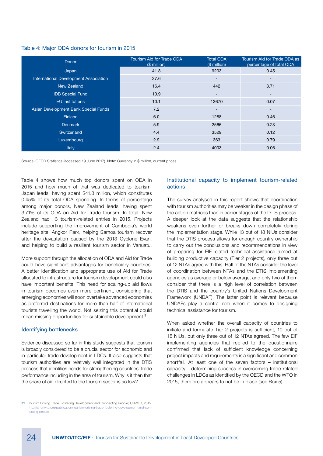#### Table 4: Major ODA donors for tourism in 2015

| Donor                                 | <b>Tourism Aid for Trade ODA</b><br>(\$ million) | <b>Total ODA</b><br>(\$ million) | Tourism Aid for Trade ODA as<br>percentage of total ODA |
|---------------------------------------|--------------------------------------------------|----------------------------------|---------------------------------------------------------|
| Japan                                 | 41.8                                             | 9203                             | 0.45                                                    |
| International Development Association | 37.6                                             | -                                | $\overline{\phantom{a}}$                                |
| New Zealand                           | 16.4                                             | 442                              | 3.71                                                    |
| <b>IDB Special Fund</b>               | 10.9                                             | -                                | $\overline{\phantom{a}}$                                |
| <b>EU</b> Institutions                | 10.1                                             | 13670                            | 0.07                                                    |
| Asian Development Bank Special Funds  | 7.2                                              | -                                | $\overline{\phantom{a}}$                                |
| Finland                               | 6.0                                              | 1288                             | 0.46                                                    |
| <b>Denmark</b>                        | 5.9                                              | 2566                             | 0.23                                                    |
| Switzerland                           | 4.4                                              | 3529                             | 0.12                                                    |
| Luxembourg                            | 2.9                                              | 363                              | 0.79                                                    |
| Italy                                 | 2.4                                              | 4003                             | 0.06                                                    |

Source: OECD Statistics (accessed 19 June 2017). Note: Currency in \$ million, current prices.

Table 4 shows how much top donors spent on ODA in 2015 and how much of that was dedicated to tourism. Japan leads, having spent \$41.8 million, which constitutes 0.45% of its total ODA spending. In terms of percentage among major donors, New Zealand leads, having spent 3.71% of its ODA on Aid for Trade tourism. In total, New Zealand had 13 tourism-related entries in 2015. Projects include supporting the improvement of Cambodia's world heritage site, Angkor Park, helping Samoa tourism recover after the devastation caused by the 2013 Cyclone Evan, and helping to build a resilient tourism sector in Vanuatu.

More support through the allocation of ODA and Aid for Trade could have significant advantages for beneficiary countries. A better identification and appropriate use of Aid for Trade allocated to infrastructure for tourism development could also have important benefits. This need for scaling-up aid flows in tourism becomes even more pertinent, considering that emerging economies will soon overtake advanced economies as preferred destinations for more than half of international tourists travelling the world. Not seizing this potential could mean missing opportunities for sustainable development.<sup>31</sup>

#### Identifying bottlenecks

Evidence discussed so far in this study suggests that tourism is broadly considered to be a crucial sector for economic and in particular trade development in LDCs. It also suggests that tourism authorities are relatively well integrated in the DTIS process that identifies needs for strengthening countries' trade performance including in the area of tourism. Why is it then that the share of aid directed to the tourism sector is so low?

#### Institutional capacity to implement tourism-related actions

The survey analysed in this report shows that coordination with tourism authorities may be weaker in the design phase of the action matrices than in earlier stages of the DTIS process. A deeper look at the data suggests that the relationship weakens even further or breaks down completely during the implementation stage. While 13 out of 18 NIUs consider that the DTIS process allows for enough country ownership to carry out the conclusions and recommendations in view of preparing for EIF-related technical assistance aimed at building productive capacity (Tier 2 projects), only three out of 12 NTAs agree with this. Half of the NTAs consider the level of coordination between NTAs and the DTIS implementing agencies as average or below average, and only two of them consider that there is a high level of correlation between the DTIS and the country's United Nations Development Framework (UNDAF). The latter point is relevant because UNDAFs play a central role when it comes to designing technical assistance for tourism.

When asked whether the overall capacity of countries to initiate and formulate Tier 2 projects is sufficient, 10 out of 18 NIUs, but only three out of 12 NTAs agreed. The few EIF implementing agencies that replied to the questionnaire confirmed that lack of sufficient knowledge concerning project impacts and requirements is a significant and common shortfall. At least one of the seven factors – institutional capacity – determining success in overcoming trade-related challenges in LDCs as identified by the OECD and the WTO in 2015, therefore appears to not be in place (see Box 5).

<sup>31</sup> 'Tourism Driving Trade, Fostering Development and Connecting People', UNWTO, 2015. http://icr.unwto.org/publication/tourism-driving-trade-fostering-development-and-connecting-people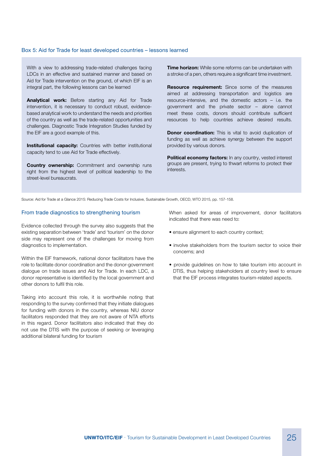#### Box 5: Aid for Trade for least developed countries – lessons learned

With a view to addressing trade-related challenges facing LDCs in an effective and sustained manner and based on Aid for Trade intervention on the ground, of which EIF is an integral part, the following lessons can be learned

Analytical work: Before starting any Aid for Trade intervention, it is necessary to conduct robust, evidencebased analytical work to understand the needs and priorities of the country as well as the trade-related opportunities and challenges. Diagnostic Trade Integration Studies funded by the EIF are a good example of this.

**Institutional capacity:** Countries with better institutional capacity tend to use Aid for Trade effectively.

**Country ownership:** Commitment and ownership runs right from the highest level of political leadership to the street-level bureaucrats.

**Time horizon:** While some reforms can be undertaken with a stroke of a pen, others require a significant time investment.

Resource requirement: Since some of the measures aimed at addressing transportation and logistics are resource-intensive, and the domestic actors – i.e. the government and the private sector – alone cannot meet these costs, donors should contribute sufficient resources to help countries achieve desired results.

**Donor coordination:** This is vital to avoid duplication of funding as well as achieve synergy between the support provided by various donors.

Political economy factors: In any country, vested interest groups are present, trying to thwart reforms to protect their interests.

Source: Aid for Trade at a Glance 2015: Reducing Trade Costs for Inclusive, Sustainable Growth, OECD, WTO 2015, pp. 157-158.

#### From trade diagnostics to strengthening tourism

Evidence collected through the survey also suggests that the existing separation between 'trade' and 'tourism' on the donor side may represent one of the challenges for moving from diagnostics to implementation.

Within the EIF framework, national donor facilitators have the role to facilitate donor coordination and the donor-government dialogue on trade issues and Aid for Trade. In each LDC, a donor representative is identified by the local government and other donors to fulfil this role.

Taking into account this role, it is worthwhile noting that responding to the survey confirmed that they initiate dialogues for funding with donors in the country, whereas NIU donor facilitators responded that they are not aware of NTA efforts in this regard. Donor facilitators also indicated that they do not use the DTIS with the purpose of seeking or leveraging additional bilateral funding for tourism

When asked for areas of improvement, donor facilitators indicated that there was need to:

- ensure alignment to each country context;
- involve stakeholders from the tourism sector to voice their concerns; and
- provide guidelines on how to take tourism into account in DTIS, thus helping stakeholders at country level to ensure that the EIF process integrates tourism-related aspects.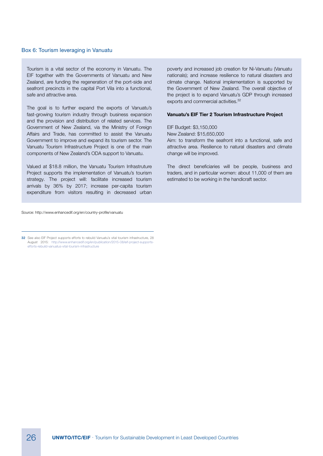#### Box 6: Tourism leveraging in Vanuatu 1

Tourism is a vital sector of the economy in Vanuatu. The EIF together with the Governments of Vanuatu and New Zealand, are funding the regeneration of the port-side and seafront precincts in the capital Port Vila into a functional, safe and attractive area.

The goal is to further expand the exports of Vanuatu's fast-growing tourism industry through business expansion and the provision and distribution of related services. The Government of New Zealand, via the Ministry of Foreign Affairs and Trade, has committed to assist the Vanuatu Government to improve and expand its tourism sector. The Vanuatu Tourism Infrastructure Project is one of the main components of New Zealand's ODA support to Vanuatu.

Valued at \$18.8 million, the Vanuatu Tourism Infrastruture Project supports the implementation of Vanuatu's tourism strategy. The project will: facilitate increased tourism arrivals by 36% by 2017; increase per-capita tourism expenditure from visitors resulting in decreased urban

poverty and increased job creation for Ni-Vanuatu (Vanuatu nationals); and increase resilience to natural disasters and climate change. National implementation is supported by the Government of New Zealand. The overall objective of the project is to expand Vanuatu's GDP through increased exports and commercial activities.<sup>32</sup>

#### Vanuatu's EIF Tier 2 Tourism Infrastructure Project

EIF Budget: \$3,150,000 New Zealand: \$15,650,000 Aim: to transform the seafront into a functional, safe and attractive area. Resilience to natural disasters and climate change will be improved.

The direct beneficiaries will be people, business and traders, and in particular women: about 11,000 of them are estimated to be working in the handicraft sector.

Source: http://www.enhancedif.org/en/country-profile/vanuatu

32 See also EIF Project supports efforts to rebuild Vanuatu's vital tourism infrastructure, 28 August 2015: http://www.enhancedif.org/en/publication/2015-08/eif-project-supportsefforts-rebuild-vanuatus-vital-tourism-infrastructure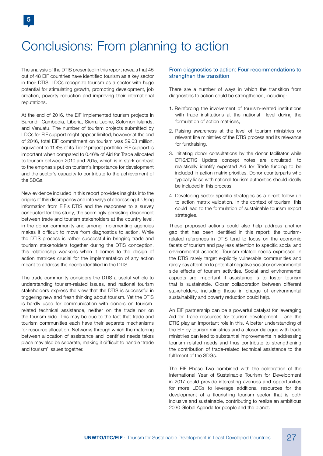## Conclusions: From planning to action

The analysis of the DTIS presented in this report reveals that 45 out of 48 EIF countries have identified tourism as a key sector in their DTIS. LDCs recognize tourism as a sector with huge potential for stimulating growth, promoting development, job creation, poverty reduction and improving their international reputations.

At the end of 2016, the EIF implemented tourism projects in Burundi, Cambodia, Liberia, Sierra Leone, Solomon Islands, and Vanuatu. The number of tourism projects submitted by LDCs for EIF support might appear limited; however at the end of 2016, total EIF commitment on tourism was \$9.03 million, equivalent to 11.4% of its Tier 2 project portfolio. EIF support is important when compared to 0.46% of Aid for Trade allocated to tourism between 2010 and 2015, which is in stark contrast to the emphasis put on tourism's importance for development and the sector's capacity to contribute to the achievement of the SDGs.

New evidence included in this report provides insights into the origins of this discrepancy and into ways of addressing it. Using information from EIF's DTIS and the responses to a survey conducted for this study, the seemingly persisting disconnect between trade and tourism stakeholders at the country level, in the donor community and among implementing agencies makes it difficult to move from diagnostics to action. While the DTIS process is rather successful in bringing trade and tourism stakeholders together during the DTIS conception, this relationship weakens when it comes to the design of action matrices crucial for the implementation of any action meant to address the needs identified in the DTIS.

The trade community considers the DTIS a useful vehicle to understanding tourism-related issues, and national tourism stakeholders express the view that the DTIS is successful in triggering new and fresh thinking about tourism. Yet the DTIS is hardly used for communication with donors on tourismrelated technical assistance, neither on the trade nor on the tourism side. This may be due to the fact that trade and tourism communities each have their separate mechanisms for resource allocation. Networks through which the matching between allocation of assistance and identified needs takes place may also be separate, making it difficult to handle 'trade and tourism' issues together.

#### From diagnostics to action: Four recommendations to strengthen the transition

There are a number of ways in which the transition from diagnostics to action could be strengthened, including:

- 1. Reinforcing the involvement of tourism-related institutions with trade institutions at the national level during the formulation of action matrices;
- 2. Raising awareness at the level of tourism ministries or relevant line ministries of the DTIS process and its relevance for fundraising.
- 3. Initiating donor consultations by the donor facilitator while DTIS/DTIS Update concept notes are circulated, to realistically identify expected Aid for Trade funding to be included in action matrix priorities. Donor counterparts who typically liaise with national tourism authorities should ideally be included in this process.
- 4. Developing sector-specific strategies as a direct follow-up to action matrix validation. In the context of tourism, this could lead to the formulation of sustainable tourism export strategies.

These proposed actions could also help address another gap that has been identified in this report: the tourismrelated references in DTIS tend to focus on the economic facets of tourism and pay less attention to specific social and environmental aspects. Tourism-related needs expressed in the DTIS rarely target explicitly vulnerable communities and rarely pay attention to potential negative social or environmental side effects of tourism activities. Social and environmental aspects are important if assistance is to foster tourism that is sustainable. Closer collaboration between different stakeholders, including those in charge of environmental sustainability and poverty reduction could help.

An EIF partnership can be a powerful catalyst for leveraging Aid for Trade resources for tourism development – and the DTIS play an important role in this. A better understanding of the EIF by tourism ministries and a closer dialogue with trade ministries can lead to substantial improvements in addressing tourism related needs and thus contribute to strengthening the contribution of trade-related technical assistance to the fulfilment of the SDGs.

The EIF Phase Two combined with the celebration of the International Year of Sustainable Tourism for Development in 2017 could provide interesting avenues and opportunities for more LDCs to leverage additional resources for the development of a flourishing tourism sector that is both inclusive and sustainable, contributing to realize an ambitious 2030 Global Agenda for people and the planet.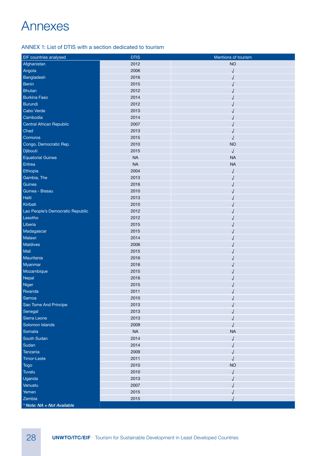## Annexes

## ANNEX 1: List of DTIS with a section dedicated to tourism

| EIF countries analysed           | <b>DTIS</b> | Mentions of tourism |
|----------------------------------|-------------|---------------------|
| Afghanistan                      | 2012        | <b>NO</b>           |
| Angola                           | 2006        |                     |
| Bangladesh                       | 2016        |                     |
| <b>Benin</b>                     | 2015        |                     |
| <b>Bhutan</b>                    | 2012        |                     |
| <b>Burkina Faso</b>              | 2014        |                     |
| Burundi                          | 2012        |                     |
| Cabo Verde                       | 2013        |                     |
| Cambodia                         | 2014        |                     |
| Central African Republic         | 2007        |                     |
| Chad                             | 2013        |                     |
| Comoros                          | 2015        |                     |
| Congo, Democratic Rep.           | 2010        | <b>NO</b>           |
| Djibouti                         | 2015        | √                   |
| <b>Equatorial Guinea</b>         | <b>NA</b>   | <b>NA</b>           |
| Eritrea                          | <b>NA</b>   | <b>NA</b>           |
| Ethiopia                         | 2004        |                     |
| Gambia, The                      | 2013        |                     |
| Guinea                           | 2016        |                     |
| Guinea - Bissau                  | 2010        |                     |
| Haiti                            | 2013        |                     |
| Kiribati                         | 2010        |                     |
| Lao People's Democratic Republic | 2012        |                     |
| Lesotho                          | 2012        |                     |
| Liberia                          | 2015        |                     |
| Madagascar                       | 2015        |                     |
| Malawi                           | 2014        |                     |
| Maldives                         | 2006        |                     |
| Mali                             | 2015        |                     |
| Mauritania                       | 2016        |                     |
| Myanmar                          | 2016        |                     |
| Mozambique                       | 2015        |                     |
| Nepal                            | 2016        |                     |
| Niger                            | 2015        |                     |
| Rwanda                           | 2011        |                     |
| Samoa                            | 2010        |                     |
| Sao Tome And Principe            | 2013        |                     |
| Senegal                          | 2013        |                     |
| Sierra Leone                     | 2013        |                     |
| Solomon Islands                  | 2009        |                     |
| Somalia                          | <b>NA</b>   | <b>NA</b>           |
| South Sudan                      | 2014        | √                   |
| Sudan                            | 2014        |                     |
| Tanzania                         | 2009        |                     |
| Timor-Leste                      | 2011        |                     |
| <b>Togo</b>                      | 2010        | <b>NO</b>           |
| Tuvalu                           | 2010        |                     |
| Uganda                           | 2013        |                     |
| Vanuatu                          | 2007        |                     |
| Yemen                            | 2015        |                     |
| Zambia                           | 2015        |                     |
| * Note: NA = Not Available       |             |                     |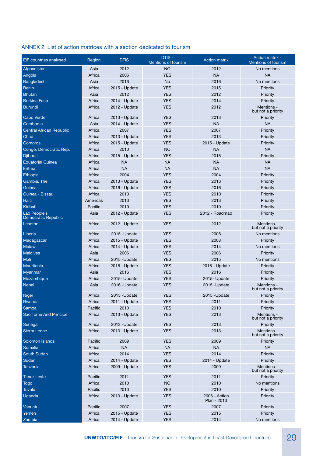## ANNEX 2: List of action matrices with a section dedicated to tourism

| <b>EIF</b> countries analysed   | Region   | <b>DTIS</b>   | DTIS-<br>Mentions of tourism | <b>Action matrix</b>         | <b>Action matrix -</b><br>Mentions of tourism |
|---------------------------------|----------|---------------|------------------------------|------------------------------|-----------------------------------------------|
| Afghanistan                     | Asia     | 2012          | <b>NO</b>                    | 2012                         | No mentions                                   |
| Angola                          | Africa   | 2006          | <b>YES</b>                   | <b>NA</b>                    | <b>NA</b>                                     |
| Bangladesh                      | Asia     | 2016          | No                           | 2016                         | No mentions                                   |
| <b>Benin</b>                    | Africa   | 2015 - Update | <b>YES</b>                   | 2015                         | Priority                                      |
| <b>Bhutan</b>                   | Asia     | 2012          | <b>YES</b>                   | 2012                         | Priority                                      |
| <b>Burkina Faso</b>             | Africa   | 2014 - Update | <b>YES</b>                   | 2014                         | Priority                                      |
| <b>Burundi</b>                  | Africa   | 2012 - Update | <b>YES</b>                   | 2012                         | Mentions -<br>but not a priority              |
| Cabo Verde                      | Africa   | 2013 - Update | <b>YES</b>                   | 2013                         | Priority                                      |
| Cambodia                        | Asia     | 2014 - Update | <b>YES</b>                   | <b>NA</b>                    | <b>NA</b>                                     |
| <b>Central African Republic</b> | Africa   | 2007          | <b>YES</b>                   | 2007                         | Priority                                      |
| Chad                            | Africa   | 2013 - Update | <b>YES</b>                   | 2013                         | Priority                                      |
| Comoros                         | Africa   | 2015 - Update | <b>YES</b>                   | 2015 - Update                | Priority                                      |
| Congo, Democratic Rep.          | Africa   | 2010          | <b>NO</b>                    | <b>NA</b>                    | <b>NA</b>                                     |
| <b>Djibouti</b>                 | Africa   | 2015 - Update | <b>YES</b>                   | 2015                         | Priority                                      |
| <b>Equatorial Guinea</b>        | Africa   | <b>NA</b>     | <b>NA</b>                    | <b>NA</b>                    | <b>NA</b>                                     |
| Eritrea                         | Africa   | <b>NA</b>     | <b>NA</b>                    | <b>NA</b>                    | <b>NA</b>                                     |
| Ethiopia                        | Africa   | 2004          | <b>YES</b>                   | 2004                         | Priority                                      |
| Gambia, The                     | Africa   | 2013 - Update | <b>YES</b>                   | 2013                         | Priority                                      |
| Guinea                          | Africa   | 2016 - Update | <b>YES</b>                   | 2016                         | Priority                                      |
| Guinea - Bissau                 | Africa   | 2010          | <b>YES</b>                   | 2010                         | Priority                                      |
| Haiti                           | Americas | 2013          | <b>YES</b>                   | 2013                         | Priority                                      |
| Kiribati                        | Pacific  | 2010          | <b>YES</b>                   | 2010                         |                                               |
| Lao People's                    | Asia     | 2012 - Update | <b>YES</b>                   | 2012 - Roadmap               | Priority                                      |
| Democratic Republic<br>Lesotho  | Africa   | 2012 - Update | <b>YES</b>                   | 2012                         | Priority<br>Mentions -                        |
|                                 |          |               |                              |                              | but not a priority                            |
| Liberia                         | Africa   | 2015 - Update | <b>YES</b>                   | 2008                         | No mentions                                   |
| Madagascar                      | Africa   | 2015 - Update | <b>YES</b>                   | 2003                         | Priority                                      |
| Malawi                          | Africa   | 2014 - Update | <b>YES</b>                   | 2014                         | No mentions                                   |
| <b>Maldives</b>                 | Asia     | 2006          | <b>YES</b>                   | 2006                         | Priority                                      |
| Mali                            | Africa   | 2015 - Update | <b>YES</b>                   | 2015                         | No mentions                                   |
| Mauritania                      | Africa   | 2016 - Update | <b>YES</b>                   | 2016 - Update                | Priority                                      |
| Myanmar                         | Asia     | 2016          | <b>YES</b>                   | 2016                         | Priority                                      |
| Mozambique                      | Africa   | 2015- Update  | <b>YES</b>                   | 2015- Update                 | Priority                                      |
| Nepal                           | Asia     | 2016 - Update | <b>YES</b>                   | 2015 - Update                | Mentions -<br>but not a priority              |
| <b>Niger</b>                    | Africa   | 2015 -Update  | <b>YES</b>                   | 2015 - Update                | Priority                                      |
| Rwanda                          | Africa   | 2011 - Update | <b>YES</b>                   | 2011                         | Priority                                      |
| Samoa                           | Pacific  | 2010          | <b>YES</b>                   | 2010                         | Priority                                      |
| Sao Tome And Principe           | Africa   | 2013 - Update | <b>YES</b>                   | 2013                         | Mentions -<br>but not a priority              |
| Senegal                         | Africa   | 2013 - Update | <b>YES</b>                   | 2013                         | Priority                                      |
| Sierra Leone                    | Africa   | 2013 - Update | <b>YES</b>                   | 2013                         | Mentions -<br>but not a priority              |
| Solomon Islands                 | Pacific  | 2009          | <b>YES</b>                   | 2009                         | Priority                                      |
| Somalia                         | Africa   | <b>NA</b>     | <b>NA</b>                    | <b>NA</b>                    | <b>NA</b>                                     |
| South Sudan                     | Africa   | 2014          | <b>YES</b>                   | 2014                         | Priority                                      |
| Sudan                           | Africa   | 2014 - Update | <b>YES</b>                   | 2014 - Update                | Priority                                      |
| Tanzania                        | Africa   | 2009 - Update | <b>YES</b>                   | 2009                         | Mentions -<br>but not a priority              |
| <b>Timor-Leste</b>              | Pacific  | 2011          | <b>YES</b>                   | 2011                         | Priority                                      |
| <b>Togo</b>                     | Africa   | 2010          | <b>NO</b>                    | 2010                         | No mentions                                   |
| Tuvalu                          | Pacific  | 2010          | <b>YES</b>                   | 2010                         | Priority                                      |
| Uganda                          | Africa   | 2013 - Update | <b>YES</b>                   | 2006 - Action<br>Plan - 2013 | Priority                                      |
| Vanuatu                         | Pacific  | 2007          | <b>YES</b>                   | 2007                         | Priority                                      |
| Yemen                           | Africa   | 2015 - Update | <b>YES</b>                   | 2015                         | Priority                                      |
| Zambia                          | Africa   | 2014 - Update | <b>YES</b>                   | 2014                         | No mentions                                   |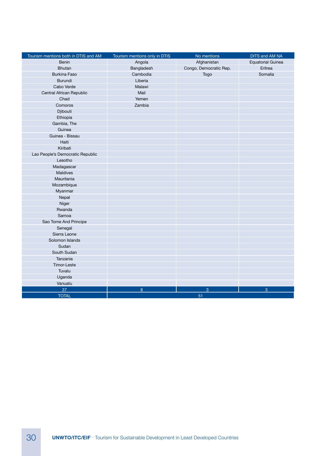| Tourism mentions both in DTIS and AM | Tourism mentions only in DTIS | No mentions            | DITS and AM NA           |
|--------------------------------------|-------------------------------|------------------------|--------------------------|
| Benin                                | Angola                        | Afghanistan            | <b>Equatorial Guinea</b> |
| <b>Bhutan</b>                        | Bangladesh                    | Congo, Democratic Rep. | Eritrea                  |
| <b>Burkina Faso</b>                  | Cambodia                      | Togo                   | Somalia                  |
| <b>Burundi</b>                       | Liberia                       |                        |                          |
| Cabo Verde                           | Malawi                        |                        |                          |
| Central African Republic             | Mali                          |                        |                          |
| Chad                                 | Yemen                         |                        |                          |
| Comoros                              | Zambia                        |                        |                          |
| Djibouti                             |                               |                        |                          |
| Ethiopia                             |                               |                        |                          |
| Gambia, The                          |                               |                        |                          |
| Guinea                               |                               |                        |                          |
| Guinea - Bissau                      |                               |                        |                          |
| Haiti                                |                               |                        |                          |
| Kiribati                             |                               |                        |                          |
| Lao People's Democratic Republic     |                               |                        |                          |
| Lesotho                              |                               |                        |                          |
| Madagascar                           |                               |                        |                          |
| <b>Maldives</b>                      |                               |                        |                          |
| Mauritania                           |                               |                        |                          |
| Mozambique                           |                               |                        |                          |
| Myanmar                              |                               |                        |                          |
| Nepal                                |                               |                        |                          |
| Niger                                |                               |                        |                          |
| Rwanda                               |                               |                        |                          |
| Samoa                                |                               |                        |                          |
| Sao Tome And Principe                |                               |                        |                          |
| Senegal                              |                               |                        |                          |
| Sierra Leone                         |                               |                        |                          |
| Solomon Islands                      |                               |                        |                          |
| Sudan                                |                               |                        |                          |
| South Sudan                          |                               |                        |                          |
| Tanzania                             |                               |                        |                          |
| Timor-Leste                          |                               |                        |                          |
| Tuvalu                               |                               |                        |                          |
| Uganda                               |                               |                        |                          |
| Vanuatu                              |                               |                        |                          |
| 37                                   | 8                             | 3                      | 3                        |
| <b>TOTAL</b>                         |                               | 51                     |                          |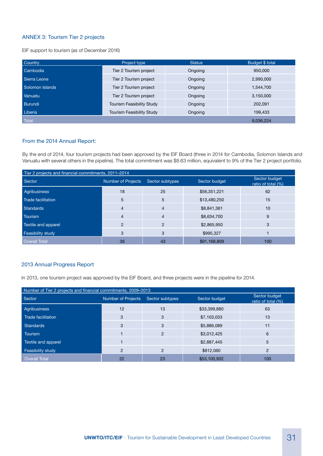## ANNEX 3: Tourism Tier 2 projects

EIF support to tourism (as of December 2016)

| Country            | Project type                     | Status  | Budget \$ total |
|--------------------|----------------------------------|---------|-----------------|
| Cambodia           | Tier 2 Tourism project           | Ongoing | 950,000         |
| Sierra Leone       | Tier 2 Tourism project           | Ongoing | 2,990,000       |
| Solomon Islands    | Tier 2 Tourism project           | Ongoing | 1,544,700       |
| Vanuatu            | Tier 2 Tourism project           | Ongoing | 3,150,000       |
| Burundi            | Tourism Feasibility Study        | Ongoing | 202,091         |
| Liberia            | <b>Tourism Feasibility Study</b> | Ongoing | 199,433         |
| Total <sup>'</sup> |                                  |         | 9,036,224       |

### From the 2014 Annual Report:

By the end of 2014, four tourism projects had been approved by the EIF Board (three in 2014 for Cambodia, Solomon Islands and Vanuatu with several others in the pipeline). The total commitment was \$8.63 million, equivalent to 9% of the Tier 2 project portfolio.

| Tier 2 projects and financial commitments, 2011-2014 |                           |                 |               |                                     |  |  |  |  |  |  |
|------------------------------------------------------|---------------------------|-----------------|---------------|-------------------------------------|--|--|--|--|--|--|
| Sector                                               | <b>Number of Projects</b> | Sector subtypes | Sector budget | Sector budget<br>ratio of total (%) |  |  |  |  |  |  |
| Agribusiness                                         | 18                        | 25              | \$56,351,221  | 62                                  |  |  |  |  |  |  |
| Trade facilitation                                   | 5                         | 5               | \$13,480,250  | 15                                  |  |  |  |  |  |  |
| Standards                                            | $\overline{4}$            | 4               | \$8,841,361   | 10                                  |  |  |  |  |  |  |
| <b>Tourism</b>                                       | $\overline{4}$            | $\overline{4}$  | \$8,634,700   | 9                                   |  |  |  |  |  |  |
| Textile and apparel                                  | $\overline{2}$            | $\overline{2}$  | \$2,865,950   | 3                                   |  |  |  |  |  |  |
| Feasibility study                                    | 3                         | 3               | \$995,327     |                                     |  |  |  |  |  |  |
| <b>Overall Total</b>                                 | 36                        | 43              | \$91,168,809  | 100                                 |  |  |  |  |  |  |

#### 2013 Annual Progress Report

In 2013, one tourism project was approved by the EIF Board, and three projects were in the pipeline for 2014.

| Number of Tier 2 projects and financial commitments, 2009–2013 |                                                               |                |              |                                     |  |  |  |  |  |  |
|----------------------------------------------------------------|---------------------------------------------------------------|----------------|--------------|-------------------------------------|--|--|--|--|--|--|
| Sector                                                         | <b>Number of Projects</b><br>Sector subtypes<br>Sector budget |                |              | Sector budget<br>ratio of total (%) |  |  |  |  |  |  |
| Agribusiness                                                   | 12                                                            | 13             | \$33,399,880 | 63                                  |  |  |  |  |  |  |
| Trade facilitation                                             | 3                                                             | 3              | \$7,103,033  | 13                                  |  |  |  |  |  |  |
| <b>Standards</b>                                               | 3                                                             | 3              | \$5,886,089  | 11                                  |  |  |  |  |  |  |
| Tourism                                                        |                                                               | $\overline{2}$ | \$3,012,425  | 6                                   |  |  |  |  |  |  |
| Textile and apparel                                            |                                                               |                | \$2,887,445  | 5                                   |  |  |  |  |  |  |
| Feasibility study                                              | $\overline{2}$                                                | 2              | \$812,060    | $\overline{2}$                      |  |  |  |  |  |  |
| <b>Overall Total</b>                                           | 22                                                            | 23             | \$53,100,932 | 100                                 |  |  |  |  |  |  |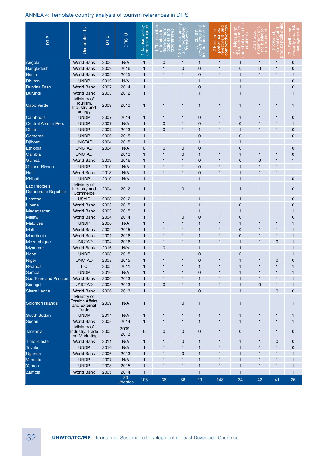## ANNEX 4: Template country analysis of tourism references in DTIS

| <b>DTIS</b>                         | Undertaken by                                           | <b>DTIS</b> | <b>DTIS_U</b> | T Tourism policy<br>and governance<br>Tourism p | $\Xi$<br>policies an<br>programme<br>5<br>5<br>O<br>$\overline{\Phi}$<br>dey<br>dey | $\overline{O}$<br>$\alpha$<br>$\circ$<br>5<br>ਰ<br>ja<br>φ<br>g<br>Ō<br>$\dot{\alpha}$ $g$ | $\overline{C}$<br><b>jovernance</b><br>Istitutional s<br>$\sigma$<br>lour<br>က္<br>ි ල | $\overline{\mathsf{N}}$ |              | ronm           | m<br>marke<br>oduct<br>ర్ | ் இ                      |
|-------------------------------------|---------------------------------------------------------|-------------|---------------|-------------------------------------------------|-------------------------------------------------------------------------------------|--------------------------------------------------------------------------------------------|----------------------------------------------------------------------------------------|-------------------------|--------------|----------------|---------------------------|--------------------------|
| Angola                              | <b>World Bank</b>                                       | 2006        | N/A           | 1                                               | $\mathbf 0$                                                                         | 1                                                                                          | 1                                                                                      | 1                       | $\mathbf{1}$ | 1              | 1                         | $\mathbf 0$              |
| Bangladesh                          | <b>World Bank</b>                                       | 2009        | 2016          | 1                                               | $\mathbf{1}$                                                                        | $\mathbf 0$                                                                                | 0                                                                                      | 1                       | $\mathbf 0$  | $\mathbf 0$    | 1                         | $\mathbf 0$              |
| <b>Benin</b>                        | <b>World Bank</b>                                       | 2005        | 2015          | 1                                               | $\overline{1}$                                                                      | 1                                                                                          | 0                                                                                      | 1                       | $\mathbf{1}$ | 1              | 1                         | $\mathbf{1}$             |
| <b>Bhutan</b>                       | <b>UNDP</b>                                             | 2012        | N/A           | 1                                               | $\overline{1}$                                                                      | 1                                                                                          | $\mathbf{1}$                                                                           | 1                       | $\mathbf{1}$ | 1              | 1                         | $\mathbf 0$              |
| <b>Burkina Faso</b>                 | <b>World Bank</b>                                       | 2007        | 2014          | 1                                               | $\overline{1}$                                                                      | 1                                                                                          | 0                                                                                      | 1                       | $\mathbf{1}$ | $\overline{1}$ | 1                         | $\mathbf 0$              |
| <b>Burundi</b>                      | <b>World Bank</b>                                       | 2003        | 2012          | $\mathbf{1}$                                    | $\overline{1}$                                                                      | 1                                                                                          | $\mathbf{1}$                                                                           | 1                       | $\mathbf{1}$ | $\overline{1}$ | 1                         | $\mathbf{1}$             |
| <b>Cabo Verde</b>                   | Ministry of<br>Tourism,<br>Industry and<br>energy       | 2009        | 2013          | 1                                               | $\mathbf{1}$                                                                        | 1                                                                                          | 1                                                                                      | $\mathbf{1}$            | $\mathbf{1}$ | $\mathbf{1}$   | 1                         | $\mathbf{1}$             |
| Cambodia                            | <b>UNDP</b>                                             | 2007        | 2014          | 1                                               | $\mathbf{1}$                                                                        | 1                                                                                          | 0                                                                                      | 1                       | $\mathbf{1}$ | 1              | 1                         | $\mathbf 0$              |
| Central African Rep.                | <b>UNDP</b>                                             | 2007        | N/A           | 1                                               | $\mathbf 0$                                                                         | 1                                                                                          | 0                                                                                      | $\mathbf{1}$            | $\mathbf 0$  | $\overline{1}$ | 1                         | $\mathbf{1}$             |
| Chad                                | <b>UNDP</b>                                             | 2007        | 2013          | 1                                               | $\mathbf 0$                                                                         | 1                                                                                          | 1                                                                                      | 1                       | $\mathbf{1}$ | 1              | 1                         | $\mathbf 0$              |
| Comoros                             | <b>UNDP</b>                                             | 2006        | 2015          | 1                                               | $\overline{1}$                                                                      | 1                                                                                          | 0                                                                                      | 1                       | $\mathbf 0$  | $\overline{1}$ | 1                         | $\mathbf 0$              |
| Djibouti                            | <b>UNCTAD</b>                                           | 2004        | 2015          | 1                                               | $\mathbf{1}$                                                                        | 1                                                                                          | 1                                                                                      | 1                       | 1            | $\mathbf{1}$   | 1                         | $\mathbf{1}$             |
| Ethiopia                            | <b>UNCTAD</b>                                           | 2004        | N/A           | 0                                               | $\overline{0}$                                                                      | 0                                                                                          | 0                                                                                      | 1                       | $\mathbf 0$  | $\overline{1}$ | 1                         | $\mathbf 0$              |
| Gambia                              | <b>UNCTAD</b>                                           |             | 2013          | 1                                               | $\overline{1}$                                                                      | 0                                                                                          | 1                                                                                      | 1                       | $\mathbf{1}$ | 1              | 1                         | $\mathbf 0$              |
| Guinea                              | <b>World Bank</b>                                       | 2003        | 2016          | $\mathbf{1}$                                    | 1                                                                                   | 1                                                                                          | 0                                                                                      | 1                       | $\mathbf 0$  | 0              | 1                         | 1                        |
| Guinea-Bissau                       | <b>UNDP</b>                                             | 2010        | N/A           | 1                                               | $\mathbf{1}$                                                                        | 1                                                                                          | 0                                                                                      | 1                       | $\mathbf{1}$ | $\overline{1}$ | 1                         | $\mathbf{1}$             |
| Haiti                               | <b>World Bank</b>                                       | 2013        | N/A           | 1                                               | $\overline{1}$                                                                      | 1                                                                                          | 0                                                                                      | 1                       | $\mathbf{1}$ | 1              | 1                         | $\mathbf{1}$             |
| Kiribati                            | <b>UNDP</b>                                             | 2010        | N/A           | 1                                               | $\overline{1}$                                                                      | 1                                                                                          | 1                                                                                      | 1                       | $\mathbf{1}$ | $\overline{1}$ | 1                         | $\mathbf 0$              |
| Lao People's<br>Democratic Republic | Ministry of<br>Industry and<br>Commerce                 | 2004        | 2012          | $\mathbf{1}$                                    | $\mathbf{1}$                                                                        | 0                                                                                          | 1                                                                                      | 1                       | $\mathbf{1}$ | $\mathbf{1}$   | 1                         | 0                        |
| Lesotho                             | <b>USAID</b>                                            | 2003        | 2012          | 1                                               | $\mathbf{1}$                                                                        | 1                                                                                          | 1                                                                                      | 1                       | $\mathbf{1}$ | 1              | 1                         | 0                        |
| Liberia                             | <b>World Bank</b>                                       | 2008        | 2015          | 1                                               | $\overline{1}$                                                                      | 1                                                                                          | $\mathbf{1}$                                                                           | 1                       | $\mathbf 0$  | 1              | 1                         | $\mathbf 0$              |
| Madagascar                          | <b>World Bank</b>                                       | 2003        | 2015          | 1                                               | $\overline{1}$                                                                      | 1                                                                                          | $\mathbf 1$                                                                            | 1                       | $\mathbf{1}$ | 1              | 1                         | $\mathbf{1}$             |
| Malawi                              | <b>World Bank</b>                                       | 2004        | 2014          | 1                                               | $\overline{1}$                                                                      | $\mathbf 0$                                                                                | 0                                                                                      | 1                       | $\mathbf 0$  | 1              | 1                         | $\mathbf 0$              |
| <b>Maldives</b>                     | <b>UNDP</b>                                             | 2006        | N/A           | 1                                               | $\mathbf{1}$                                                                        | 1                                                                                          | 1                                                                                      | 1                       | $\mathbf{1}$ | $\overline{1}$ | 1                         | $\mathbf 1$              |
| Mali                                | <b>World Bank</b>                                       | 2004        | 2015          | 1                                               | $\mathbf{1}$                                                                        | 1                                                                                          | 1                                                                                      | 1                       | $\mathbf 0$  | 1              | 1                         | $\mathbf{1}$             |
| Mauritania                          | <b>World Bank</b>                                       | 2001        | 2016          | 1                                               | $\overline{1}$                                                                      | 1                                                                                          | 1                                                                                      | 1                       | $\mathbf 0$  | $\overline{1}$ | 1                         | $\overline{\phantom{a}}$ |
| Mozambique                          | <b>UNCTAD</b>                                           | 2004        | 2016          | 1                                               | 1                                                                                   | 1                                                                                          | 1                                                                                      | 1                       | $\mathbf{1}$ | 1              | $\mathbf 0$               | 1                        |
| Myanmar                             | <b>World Bank</b>                                       | 2016        | N/A           | 1                                               | $\mathbf 0$                                                                         | 1                                                                                          | 1                                                                                      | 1                       | $\mathbf{1}$ | 1              | 1                         | $\mathbf{1}$             |
| Nepal                               | <b>UNDP</b>                                             | 2003        | 2015          | 1                                               | 1                                                                                   | 1                                                                                          | 0                                                                                      | 1                       | $\mathbf 0$  | 1              | 1                         | $\overline{1}$           |
| Niger                               | <b>UNCTAD</b>                                           | 2008        | 2015          | 1                                               | $\overline{1}$                                                                      | 1                                                                                          | 0                                                                                      | 1                       | 1            | $\overline{1}$ | 0                         | $\mathbf 0$              |
| Rwanda                              | <b>ITC</b>                                              | 2005        | 2011          | 1                                               | $\mathbf{1}$                                                                        | 1                                                                                          | 1                                                                                      | 1                       | $\mathbf{1}$ | 1              | 1                         | $\mathbf{1}$             |
| Samoa                               | <b>UNDP</b>                                             | 2010        | N/A           | 1                                               | $\mathbf{1}$                                                                        | 1                                                                                          | 0                                                                                      | $\mathbf{1}$            | $\mathbf{1}$ | $\mathbf{1}$   | 1                         | $\mathbf{1}$             |
| Sao Tome and Principe               | <b>World Bank</b>                                       | 2006        | 2013          | 1                                               | $\mathbf{1}$                                                                        | 1                                                                                          | $\mathbf{1}$                                                                           | 1                       | $\mathbf{1}$ | $\mathbf{1}$   | 1                         | $\mathbf{1}$             |
| Senegal                             | <b>UNCTAD</b>                                           | 2003        | 2013          | 1                                               | $\mathbf 0$                                                                         | 1                                                                                          | 1                                                                                      | 1                       | $\mathbf{1}$ | 0              | 1                         | $\mathbf{1}$             |
| Sierra Leone                        | <b>World Bank</b>                                       | 2006        | 2013          | $\mathbf{1}$                                    | $\mathbf{1}$                                                                        | $\mathbf{1}$                                                                               | 0                                                                                      | $\mathbf{1}$            | $\mathbf{1}$ | $\mathbf{1}$   | 0                         | $\mathbf 0$              |
| Solomon Islands                     | Ministry of<br>Foreign Affairs<br>and External<br>Trade | 2009        | N/A           | $\mathbf{1}$                                    | $\mathbf{1}$                                                                        | 0                                                                                          | 1                                                                                      | 1                       | $\mathbf{1}$ | $\mathbf{1}$   | 1                         | $\mathbf{1}$             |
| South Sudan                         | <b>UNDP</b>                                             | 2014        | N/A           | 1                                               | $\mathbf{1}$                                                                        | 1                                                                                          | 1                                                                                      | 1                       | $\mathbf{1}$ | 1              | 1                         | $\mathbf{1}$             |
| Sudan                               | <b>World Bank</b>                                       | 2008        | 2014          | $\mathbf{1}$                                    | $\mathbf{1}$                                                                        | 1                                                                                          | $\mathbf{1}$                                                                           | $\mathbf{1}$            | $\mathbf{1}$ | $\mathbf{1}$   | 1                         | $\mathbf{1}$             |
| Tanzania                            | Ministry of<br>Industry, Trade<br>and Marketing         | 2005        | 2009-<br>2013 | $\pmb{0}$                                       | $\mathbf 0$                                                                         | 0                                                                                          | 0                                                                                      | 1                       | $\pmb{0}$    | 1              | 1                         | $\mathbf 0$              |
| <b>Timor-Leste</b>                  | <b>World Bank</b>                                       | 2011        | N/A           | 1                                               | $\mathbf{1}$                                                                        | 0                                                                                          | 1                                                                                      | 1                       | $\mathbf{1}$ | 1              | 0                         | $\mathbf 0$              |
| Tuvalu                              | <b>UNDP</b>                                             | 2010        | N/A           | 1                                               | $\mathbf{1}$                                                                        | 1                                                                                          | 1                                                                                      | 1                       | $\mathbf{1}$ | 1              | 1                         | $\mathbf 0$              |
| Uganda                              | <b>World Bank</b>                                       | 2006        | 2013          | $\mathbf{1}$                                    | $\mathbf{1}$                                                                        | $\mathbf 0$                                                                                | 1                                                                                      | 1                       | $\mathbf{1}$ | 1              | 1                         | $\mathbf{1}$             |
| Vanuatu                             | <b>UNDP</b>                                             | 2007        | N/A           | 1                                               | $\mathbf{1}$                                                                        | 1                                                                                          | 1                                                                                      | 1                       | $\mathbf{1}$ | 1              | 1                         | 1                        |
| Yemen                               | <b>UNDP</b>                                             | 2003        | 2015          | 1                                               | $\mathbf{1}$                                                                        | 1                                                                                          | 1                                                                                      | 1                       | $\mathbf{1}$ | 1              | 1                         | $\mathbf{1}$             |
| Zambia                              | <b>World Bank</b>                                       | 2005        | 2014          | $\mathbf{1}$                                    | $\mathbf{1}$                                                                        | $\mathbf{1}$                                                                               | $\mathbf{1}$                                                                           | $\mathbf{1}$            | $\mathbf{1}$ | $\mathbf{1}$   | $\mathbf{1}$              | $\mathbf{1}$             |
|                                     |                                                         |             | 30<br>Updates | 103                                             | 38                                                                                  | 36                                                                                         | 29                                                                                     | 143                     | 34           | 42             | 41                        | 26                       |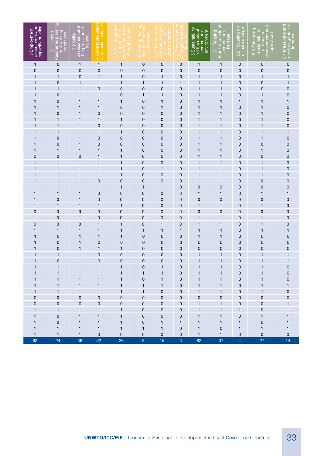| 3 Employment,<br>decent work and<br>capacity building | Resources planning<br>and working<br>conditions<br>3.1 Human | assessment and<br>the provision of<br>training<br>3.2 Skills | 4 Poverty reduction<br>and social inclusion | 4.1 An integrated<br>poverty reductior<br>through tourism<br>approach | ourism<br>pro-poor<br>4.2 Stren | 4.3 The inclusion<br>groups in the<br>ourism secto | SO <sub>CI</sub><br>The prevent<br>of negative<br>$\frac{4}{4}$ | 5 Sustainability<br>of the natural<br>and cultural<br>environment | 5.1 Relating<br>tourism to natural<br>and cultural<br>heritage | 5.2 Focusing on<br>climate change | of tourism<br>development and<br>5.3 Enhancing<br>sustainability<br>operations<br>5.31 | 5.4 Measuring and<br>monitoring tourism<br>impacts |
|-------------------------------------------------------|--------------------------------------------------------------|--------------------------------------------------------------|---------------------------------------------|-----------------------------------------------------------------------|---------------------------------|----------------------------------------------------|-----------------------------------------------------------------|-------------------------------------------------------------------|----------------------------------------------------------------|-----------------------------------|----------------------------------------------------------------------------------------|----------------------------------------------------|
| $\mathbf{1}$                                          | 0                                                            | $\mathbf{1}$                                                 | $\mathbf{1}$                                | $\mathbf{1}$                                                          | $\mathbf 0$                     | 0                                                  | 0                                                               | $\mathbf{1}$                                                      | $\mathbf{1}$                                                   | $\pmb{0}$                         | 0                                                                                      | 0                                                  |
| $\mathbf 0$                                           | $\mathbf 0$                                                  | $\mathbf 0$                                                  | $\mathbf 0$                                 | $\mathbf 0$                                                           | $\mathbf 0$                     | $\mathbf 0$                                        | $\mathbf 0$                                                     | 0                                                                 | $\mathbf 0$                                                    | $\mathbf 0$                       | 0                                                                                      | 0                                                  |
| 1                                                     | $\mathbf{1}$                                                 | 0                                                            | $\mathbf{1}$                                | 1                                                                     | 0                               | 1                                                  | 0                                                               | 1                                                                 | 1                                                              | 0                                 | 1                                                                                      | 1                                                  |
| $\mathbf{1}$                                          | $\mathbf 0$                                                  | $\mathbf{1}$                                                 | 1                                           | 1                                                                     | 1                               | 1                                                  | 1                                                               | 1                                                                 | 1                                                              | 0                                 | 0                                                                                      | 1                                                  |
| 1                                                     | $\mathbf{1}$                                                 | $\mathbf{1}$                                                 | $\mathbf 0$                                 | 0                                                                     | $\mathbf 0$                     | $\mathbf 0$                                        | 0                                                               | 1                                                                 | 1                                                              | 0                                 | 0                                                                                      | 0                                                  |
| 1                                                     | $\mathbf 0$                                                  | $\mathbf{1}$                                                 | 1                                           | 0                                                                     | 1                               | $\mathbf{1}$                                       | 0                                                               | 1                                                                 | 1                                                              | 0                                 | 1                                                                                      | 0                                                  |
| 1                                                     | 0                                                            | $\mathbf{1}$                                                 | 1                                           | 1                                                                     | $\mathbf 0$                     | 1                                                  | 0                                                               | 1                                                                 | 1                                                              | 1                                 | 1                                                                                      | 1                                                  |
| 1                                                     | 1                                                            | $\mathbf{1}$                                                 | 1                                           | 0                                                                     | 0                               | $\mathbf{1}$                                       | 0                                                               | 1                                                                 | 1                                                              | 0                                 | 1                                                                                      | 0                                                  |
| $\mathbf{1}$                                          | $\mathbf 0$                                                  | $\mathbf{1}$                                                 | $\mathbf 0$                                 | 0                                                                     | $\mathbf 0$                     | 0                                                  | 0                                                               |                                                                   | 1                                                              | 0                                 | 1                                                                                      | 0                                                  |
| $\mathbf{1}$                                          | $\mathbf{1}$                                                 | 1                                                            | 1                                           | 1                                                                     | $\mathbf 0$                     | 0                                                  | 0                                                               | 1                                                                 | 1                                                              | 0                                 | 1                                                                                      | 0                                                  |
| 1                                                     | $\mathbf{1}$                                                 | $\mathbf{1}$                                                 | $\mathbf 0$                                 | $\mathbf 0$                                                           | $\mathbf 0$                     | $\mathbf 0$                                        | 0                                                               |                                                                   | 1                                                              | 0                                 | 1                                                                                      | $\mathbf{0}$                                       |
| 1                                                     | 1                                                            | 1                                                            | 1                                           | $\mathbf{1}$                                                          | 0                               | 0                                                  | 0                                                               | 1                                                                 | $\mathbf{1}$                                                   | 0                                 | 1                                                                                      | 1                                                  |
| 1                                                     | $\mathbf 0$                                                  | 1                                                            | $\mathbf 0$                                 | 0                                                                     | 0                               | 0                                                  | 0                                                               | 1                                                                 | $\mathbf{1}$                                                   | 0                                 | 1                                                                                      | $\mathbf 0$                                        |
| 1                                                     | $\mathbf 0$                                                  | 1                                                            | $\pmb{0}$                                   | $\mathbf 0$                                                           | $\mathbf 0$                     | 0                                                  | 0                                                               | 1                                                                 | $\mathbf{1}$                                                   | 0                                 | 0                                                                                      | 0                                                  |
| 1                                                     | $\mathbf{1}$                                                 | 1                                                            | 1                                           | 1                                                                     | $\mathbf 0$                     | 0                                                  | 0                                                               | 1                                                                 | 1                                                              | 0                                 | 1                                                                                      | $\mathbf 0$                                        |
| 0                                                     | $\mathbf 0$                                                  | $\mathbf 0$                                                  | 1                                           | $\mathbf{1}$                                                          | $\mathbf 0$                     | 0                                                  | $\mathbf 0$                                                     | 1                                                                 | 1                                                              | 0                                 | 0                                                                                      | $\mathbf 0$                                        |
| 1                                                     | $\mathbf{1}$                                                 | 1                                                            | 1                                           | 1                                                                     | 0                               | 0                                                  | 0                                                               | 1                                                                 | 1                                                              | 0                                 | 1                                                                                      | 0                                                  |
| 1                                                     | $\mathbf{1}$                                                 | 1                                                            | 1                                           | $\overline{1}$                                                        | $\mathbf 0$                     | $\mathbf{1}$                                       | 0                                                               | 1                                                                 | $\mathbf{1}$                                                   | 0                                 | 1                                                                                      | 0                                                  |
| 1                                                     | $\mathbf{1}$                                                 | 1                                                            | 1                                           | $\overline{1}$                                                        | $\mathbf 0$                     | $\mathbf 0$                                        | 0                                                               | 1                                                                 | 1                                                              | 0                                 | 1                                                                                      | 0                                                  |
| 1                                                     | $\mathbf{1}$                                                 | 1                                                            | $\mathbf 0$                                 | $\mathbf 0$                                                           | $\mathbf 0$                     | 0                                                  | 0                                                               | 1                                                                 | 1                                                              | 0                                 | 0                                                                                      | 0                                                  |
| 1                                                     | $\mathbf{1}$                                                 | $\mathbf{1}$                                                 | 1                                           | $\mathbf{1}$                                                          | $\mathbf{1}$                    | 1                                                  | 0                                                               | 0                                                                 | $\mathbf 0$                                                    | 0                                 | $\mathbf 0$                                                                            | 0                                                  |
| 1                                                     | 1                                                            | 1                                                            | $\mathbf 0$                                 | $\mathbf 0$                                                           | $\mathbf 0$                     | $\mathbf 0$                                        | 0                                                               | 1                                                                 | 1                                                              | 0                                 | 1                                                                                      | $\mathbf{1}$                                       |
| 1                                                     | $\mathbf 0$                                                  | 1                                                            | 0                                           | $\mathbf 0$                                                           | $\mathbf 0$                     | 0                                                  | 0                                                               | 0                                                                 | $\mathbf 0$                                                    | 0                                 | $\mathbf 0$                                                                            | 0                                                  |
| 1                                                     | 1                                                            | 1                                                            | $\mathbf{1}$                                | $\overline{1}$                                                        | $\mathbf 0$                     | 0                                                  | 0                                                               | $\mathbf{1}$                                                      | 1                                                              | 0                                 | 1                                                                                      | 0                                                  |
| 0                                                     | $\mathbf 0$                                                  | 0                                                            | $\mathbf 0$                                 | $\mathbf 0$                                                           | $\mathbf 0$                     | 0                                                  | 0                                                               | 0                                                                 | $\mathbf 0$                                                    | 0                                 | $\mathbf 0$                                                                            | 0                                                  |
| 1                                                     | 0                                                            | 1                                                            | 0                                           | $\mathbf 0$                                                           | 0                               | 0                                                  | 0                                                               | 1                                                                 | 1                                                              | 0                                 | 1                                                                                      | 0                                                  |
| 0                                                     | $\mathbf 0$                                                  | 0                                                            | $\mathbf{1}$                                | $\overline{1}$                                                        | $\mathbf 0$                     | 1                                                  | 0                                                               | 1                                                                 | 1                                                              | 0                                 | 1                                                                                      | 0                                                  |
| 1                                                     | 1                                                            | 1                                                            | 1                                           | 1                                                                     | 1                               | $\mathbf{1}$                                       | 1                                                               | 1                                                                 | 1                                                              | 0                                 | 1                                                                                      | 1                                                  |
| $\mathbf{1}$                                          | $\mathbf 0$                                                  | $\mathbf{1}$                                                 | $\overline{1}$                              | 1                                                                     | 0                               | $\mathbf 0$                                        | 0                                                               | 1                                                                 | 1                                                              | 0                                 | 0                                                                                      | $\mathbf{0}$                                       |
| 1                                                     | 0                                                            | $\mathbf{1}$                                                 | $\mathbf 0$                                 | 0                                                                     | $\mathbf 0$                     | 0                                                  | 0                                                               | 0                                                                 | 0                                                              | $\mathbf 0$                       | 0                                                                                      | $\mathbf{0}$                                       |
| $\mathbf{1}$                                          | $\mathbf 0$                                                  | $\mathbf{1}$                                                 | $\mathbf{1}$                                | 1                                                                     | 0                               | 0                                                  | 0                                                               | 0                                                                 | 0                                                              | 0                                 | 0                                                                                      | $\mathbf{0}$                                       |
| 1                                                     | $\mathbf{1}$                                                 | $\mathbf{1}$                                                 | $\mathbf 0$                                 | 0                                                                     | $\mathbf 0$                     | 0                                                  | 0                                                               | 1                                                                 | 1                                                              | 0                                 | 1                                                                                      | 1                                                  |
| 1                                                     | $\mathbf 0$                                                  | $\mathbf{1}$                                                 | $\mathbf 0$                                 | 0                                                                     | 0                               | 0                                                  | 0                                                               |                                                                   | 1                                                              | 0                                 | 1                                                                                      | $\mathbf{1}$                                       |
| 1                                                     | 1<br>1                                                       | 1<br>1                                                       | 1                                           | 1                                                                     | 0<br>1                          |                                                    | 0                                                               | 1                                                                 |                                                                | 0<br>0                            | 1                                                                                      | 0                                                  |
| $\mathbf{1}$                                          | $\mathbf{1}$                                                 | $\mathbf{1}$                                                 | 1                                           |                                                                       |                                 | 1                                                  | 0                                                               | 1                                                                 | 1                                                              |                                   | 1                                                                                      | 0                                                  |
| $\mathbf{1}$                                          | 1                                                            | 1                                                            | 1<br>1                                      | 1<br>1                                                                | $\mathbf 0$<br>$\mathbf{1}$     | 1<br>$\mathbf{1}$                                  | 0<br>0                                                          | 1<br>1                                                            | 1                                                              | 0<br>0                            | 1<br>1                                                                                 | 0                                                  |
| $\mathbf{1}$                                          | $\mathbf{1}$                                                 |                                                              | 1                                           | $\mathbf{1}$                                                          | $\overline{1}$                  | $\pmb{0}$                                          |                                                                 | $\mathbf{1}$                                                      | 1<br>1                                                         |                                   | 1                                                                                      | 1                                                  |
| 0                                                     | $\mathbf 0$                                                  | 1<br>$\pmb{0}$                                               | $\mathbf 0$                                 | $\pmb{0}$                                                             | $\mathbf 0$                     | 0                                                  | 0<br>0                                                          | $\pmb{0}$                                                         | 0                                                              | 0<br>0                            | 0                                                                                      | 0<br>0                                             |
| 0                                                     | $\mathbf 0$                                                  | $\pmb{0}$                                                    | $\mathbf 0$                                 | 0                                                                     | $\mathbf 0$                     | 0                                                  | 0                                                               | 1                                                                 | 1                                                              | 0                                 | $\pmb{0}$                                                                              | 1                                                  |
| 1                                                     | $\mathbf{1}$                                                 | 1                                                            | $\mathbf{1}$                                | $\mathbf{1}$                                                          | $\mathbf 0$                     | 0                                                  | 0                                                               | $\mathbf{1}$                                                      | $\mathbf{1}$                                                   | $\mathbf{1}$                      | $\pmb{0}$                                                                              | 1                                                  |
| $\mathbf{1}$                                          | $\pmb{0}$                                                    | 1                                                            | $\mathbf{1}$                                | $\mathbf{1}$                                                          | $\mathbf 0$                     | 0                                                  | 0                                                               | $\mathbf{1}$                                                      | $\mathbf{1}$                                                   | 0                                 | 1                                                                                      | 1                                                  |
| 1                                                     | $\mathbf 0$                                                  | 1                                                            | $\mathbf{1}$                                | $\mathbf{1}$                                                          | $\mathbf 0$                     | $\mathbf{1}$                                       | 1                                                               | $\mathbf{1}$                                                      | 1                                                              | 1                                 | $\mathbf 0$                                                                            | 1                                                  |
| 1                                                     | $\mathbf{1}$                                                 | $\mathbf{1}$                                                 | $\mathbf{1}$                                | $\mathbf{1}$                                                          | $\mathbf{1}$                    | $\mathbf{1}$                                       | 0                                                               | $\mathbf{1}$                                                      | $\pmb{0}$                                                      | 1                                 | 1                                                                                      | 1                                                  |
| $\mathbf{1}$                                          | $\mathbf{1}$                                                 | $\mathbf{1}$                                                 | $\pmb{0}$                                   | $\mathbf 0$                                                           | $\mathbf 0$                     | $\mathsf 0$                                        | 0                                                               | $\mathbf{1}$                                                      | 1                                                              | 0                                 | 0                                                                                      | $\mathbf 0$                                        |
| 62                                                    | 24                                                           | 38                                                           | 52                                          | 26                                                                    | $\bf 8$                         | $15\,$                                             | $\overline{3}$                                                  | 82                                                                | 37                                                             | $\overline{4}$                    | 27                                                                                     | 14                                                 |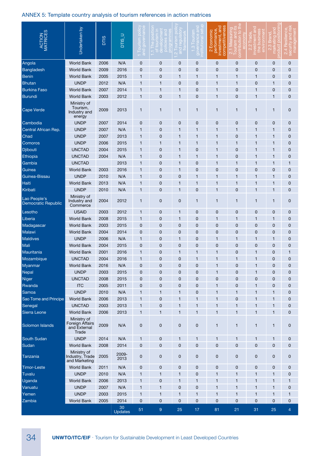| ACTION                                     | Undertaken by                                           | <b>DTIS</b> | <b>DTIS_U</b>        | $\cup$<br><b>Dub</b> |              |              |              | Econom<br>titive<br>rmai<br>mper<br>흔<br>$\overline{\mathsf{N}}$ |              |                |              |                |
|--------------------------------------------|---------------------------------------------------------|-------------|----------------------|----------------------|--------------|--------------|--------------|------------------------------------------------------------------|--------------|----------------|--------------|----------------|
| Angola                                     | <b>World Bank</b>                                       | 2006        | N/A                  | $\mathbf 0$          | $\mathbf 0$  | 0            | $\pmb{0}$    | 0                                                                | 0            | 0              | 0            | $\mathbf 0$    |
| Bangladesh                                 | <b>World Bank</b>                                       | 2009        | 2016                 | $\mathbf 0$          | 0            | 0            | 0            | 0                                                                | $\mathbf 0$  | $\mathbf 0$    | 0            | $\mathbf 0$    |
| <b>Benin</b>                               | <b>World Bank</b>                                       | 2005        | 2015                 | 1                    | 0            | 1            | 1            | 1                                                                | $\mathbf{1}$ | $\mathbf{1}$   | 0            | $\mathbf 0$    |
| <b>Bhutan</b>                              | <b>UNDP</b>                                             | 2012        | N/A                  | 1                    | 1            | 0            | 0            | 1                                                                | $\mathbf{1}$ | 0              | 1            | $\mathbf 0$    |
| <b>Burkina Faso</b>                        | <b>World Bank</b>                                       | 2007        | 2014                 | 1                    | 1            | $\mathbf{1}$ | 0            | 1                                                                | $\mathbf 0$  | 1              | 0            | $\mathbf 0$    |
| Burundi                                    | <b>World Bank</b>                                       | 2003        | 2012                 | $\mathbf{1}$         | 0            | $\mathbf{1}$ | 0            | 1                                                                | $\mathbf 0$  | $\overline{1}$ | 1            | $\mathbf 0$    |
| <b>Cape Verde</b>                          | Ministry of<br>Tourism,<br>Industry and<br>energy       | 2009        | 2013                 | $\mathbf{1}$         | $\mathbf{1}$ | $\mathbf{1}$ | $\mathbf{1}$ | 1                                                                | 1            | 1              | 1            | $\mathbf 0$    |
| Cambodia                                   | <b>UNDP</b>                                             | 2007        | 2014                 | $\mathbf 0$          | $\mathbf 0$  | $\mathbf 0$  | $\mathbf 0$  | 0                                                                | $\mathbf 0$  | 0              | $\mathbf 0$  | $\mathbf 0$    |
| Central African Rep.                       | <b>UNDP</b>                                             | 2007        | N/A                  | $\mathbf{1}$         | 0            | 1            | $\mathbf{1}$ | 1                                                                | $\mathbf{1}$ | $\mathbf{1}$   | 1            | $\mathbf 0$    |
| Chad                                       | <b>UNDP</b>                                             | 2007        | 2013                 | $\mathbf{1}$         | $\mathbf 0$  | 1            | $\mathbf{1}$ | 1                                                                | $\mathbf 0$  | 1              | 1            | $\mathbf 0$    |
| Comoros                                    | <b>UNDP</b>                                             | 2006        | 2015                 | $\mathbf{1}$         | $\mathbf{1}$ | 1            | $\mathbf{1}$ | 1                                                                | $\mathbf{1}$ | 1              | 1            | $\mathbf 0$    |
| Djibouti                                   | <b>UNCTAD</b>                                           | 2004        | 2015                 | $\mathbf{1}$         | 0            | 1            | 0            | 1                                                                | $\mathbf 0$  | $\mathbf{1}$   | 1            | $\mathbf 0$    |
| Ethiopia                                   | <b>UNCTAD</b>                                           | 2004        | N/A                  | $\mathbf{1}$         | 0            | 1            | $\mathbf{1}$ | 1                                                                | $\mathbf 0$  | $\mathbf{1}$   | 1            | $\mathbf 0$    |
| Gambia                                     | <b>UNCTAD</b>                                           |             | 2013                 | $\mathbf{1}$         | 0            | 1            | 0            | 1                                                                | $\mathbf{1}$ | 1              | 1            | 1              |
| Guinea                                     | <b>World Bank</b>                                       | 2003        | 2016                 | $\mathbf{1}$         | 0            | 1            | 0            | 0                                                                | $\mathbf 0$  | 0              | 0            | $\mathbf 0$    |
| Guinea-Bissau                              | <b>UNDP</b>                                             | 2010        | N/A                  | $\mathbf{1}$         | 0            | 0            | $\mathbf{1}$ | 1                                                                | $\mathbf{1}$ | $\mathbf{1}$   | $\mathbf{1}$ | $\mathbf 0$    |
| Haiti                                      | <b>World Bank</b>                                       | 2013        | N/A                  | 1                    | 0            | 1            | 1            | 1                                                                | $\mathbf{1}$ | $\overline{1}$ | $\mathbf{1}$ | $\mathbf 0$    |
| Kiribati                                   | <b>UNDP</b>                                             | 2010        | N/A                  | 1                    | 0            | 1            | 0            | 1                                                                | $\mathbf 0$  | $\mathbf{1}$   | 1            | $\mathbf 0$    |
| Lao People's<br><b>Democratic Republic</b> | Ministry of<br>Industry and<br>Commerce                 | 2004        | 2012                 | $\mathbf{1}$         | 0            | 0            | $\mathbf{1}$ | 1                                                                | $\mathbf{1}$ | $\mathbf{1}$   | 1            | $\mathbf 0$    |
| Lesotho                                    | <b>USAID</b>                                            | 2003        | 2012                 | $\mathbf{1}$         | $\mathbf 0$  | 1            | $\mathbf 0$  | 0                                                                | $\mathbf 0$  | 0              | 0            | $\mathbf 0$    |
| Liberia                                    | <b>World Bank</b>                                       | 2008        | 2015                 | 1                    | 0            | 1            | $\mathbf 0$  | 1                                                                | 1            | 1              | 1            | $\mathbf 0$    |
| Madagascar                                 | <b>World Bank</b>                                       | 2003        | 2015                 | $\mathbf 0$          | 0            | 0            | $\mathbf 0$  | 0                                                                | 0            | 0              | 0            | $\mathbf 0$    |
| Malawi                                     | <b>World Bank</b>                                       | 2004        | 2014                 | $\mathbf 0$          | 0            | 0            | $\mathbf 0$  | 0                                                                | 0            | 0              | 0            | $\mathbf 0$    |
| <b>Maldives</b>                            | <b>UNDP</b>                                             | 2006        | N/A                  | 1                    | $\mathbf 0$  | 1            | $\mathbf 0$  | 1                                                                | 1            | 1              | 1            | $\mathbf 0$    |
| Mali                                       | <b>World Bank</b>                                       | 2004        | 2015                 | $\mathbf 0$          | 0            | 0            | $\mathbf 0$  | 0                                                                | 0            | 0              | 0            | $\mathbf 0$    |
| Mauritania                                 | <b>World Bank</b>                                       | 2001        | 2016                 | 1                    | 0            | 1            | $\mathbf 1$  | 1                                                                | 0            | 1              | 0            | $\mathbf{1}$   |
| Mozambique                                 | <b>UNCTAD</b>                                           | 2004        | 2016                 | $\mathbf{1}$         | 0            | 0            | $\mathbf{1}$ | 1                                                                | 1            | 1              | 0            | $\mathbf 0$    |
| Myanmar                                    | <b>World Bank</b>                                       | 2016        | N/A                  | 0                    | 0            | 0            | 0            |                                                                  | 0            |                | 0            | 0              |
| Nepal                                      | <b>UNDP</b>                                             | 2003        | 2015                 | $\mathbf 0$          | 0            | 0            | $\mathbf 0$  | $\mathbf{1}$                                                     | 0            | 1              | 0            | $\mathbf 0$    |
| Niger                                      | <b>UNCTAD</b>                                           | 2008        | 2015                 | $\pmb{0}$            | $\mathbf 0$  | $\mathbf 0$  | $\mathbf 0$  | 0                                                                | $\mathbf 0$  | 0              | 0            | $\mathbf 0$    |
| Rwanda                                     | <b>ITC</b>                                              | 2005        | 2011                 | $\pmb{0}$            | $\mathbf 0$  | 0            | $\mathbf 0$  | 1                                                                | $\pmb{0}$    | $\overline{1}$ | 0            | $\mathbf 0$    |
| Samoa                                      | <b>UNDP</b>                                             | 2010        | N/A                  | $\mathbf{1}$         | 1            | 1            | $\mathbf 0$  | 1                                                                | $\mathbf{1}$ | 1              | 1            | $\mathbf 0$    |
| Sao Tome and Principe                      | <b>World Bank</b>                                       | 2006        | 2013                 | $\mathbf{1}$         | 0            | 1            | 1            | 1                                                                | $\mathbf 0$  | 1              | 1            | $\mathbf 0$    |
| Senegal                                    | <b>UNCTAD</b>                                           | 2003        | 2013                 | $\mathbf{1}$         | 0            | 1            | 1            | 1                                                                | $\mathbf{1}$ | 1              | 1            | $\mathbf 0$    |
| Sierra Leone                               | <b>World Bank</b>                                       | 2006        | 2013                 | $\mathbf{1}$         | 1            | 1            | 1            | 1                                                                | $\mathbf{1}$ | 1              | 1            | $\mathbf 0$    |
| Solomon Islands                            | Ministry of<br>Foreign Affairs<br>and External<br>Trade | 2009        | N/A                  | $\pmb{0}$            | $\pmb{0}$    | $\pmb{0}$    | $\pmb{0}$    | 1                                                                | $\mathbf{1}$ | 1              | $\mathbf{1}$ | $\mathbf 0$    |
| South Sudan                                | <b>UNDP</b>                                             | 2014        | N/A                  | $\mathbf{1}$         | 0            | 1            | $\mathbf{1}$ | 1                                                                | $\mathbf{1}$ | 1              | 1            | $\mathbf 0$    |
| Sudan                                      | <b>World Bank</b>                                       | 2008        | 2014                 | $\mathbf 0$          | $\mathbf 0$  | $\mathbf 0$  | $\mathbf 0$  | 0                                                                | $\mathbf 0$  | 0              | $\pmb{0}$    | $\mathbf 0$    |
| Tanzania                                   | Ministry of<br>Industry, Trade<br>and Marketing         | 2005        | 2009-<br>2013        | $\pmb{0}$            | 0            | 0            | $\pmb{0}$    | 0                                                                | $\pmb{0}$    | 0              | 0            | 0              |
| <b>Timor-Leste</b>                         | <b>World Bank</b>                                       | 2011        | N/A                  | $\mathbf 0$          | 0            | 0            | $\mathbf 0$  | 0                                                                | $\mathbf 0$  | 0              | 0            | $\mathbf 0$    |
| Tuvalu                                     | <b>UNDP</b>                                             | 2010        | N/A                  | 1                    | $\mathbf{1}$ | $\mathbf{1}$ | $\mathbf 0$  | 1                                                                | $\mathbf{1}$ | 1              | 1            | $\mathbf 0$    |
| Uganda                                     | <b>World Bank</b>                                       | 2006        | 2013                 | $\mathbf{1}$         | $\mathbf 0$  | 1            | 1            | 1                                                                | $\mathbf{1}$ | 1              | 1            | 1              |
| Vanuatu                                    | <b>UNDP</b>                                             | 2007        | N/A                  | $\mathbf{1}$         | $\mathbf{1}$ | $\mathbf 0$  | $\mathbf 0$  | 1                                                                | $\mathbf{1}$ | 1              | $\mathbf{1}$ | $\mathbf 0$    |
| Yemen                                      | <b>UNDP</b>                                             | 2003        | 2015                 | $\mathbf{1}$         | $\mathbf{1}$ | 1            | 1            | 1                                                                | $\mathbf{1}$ | 1              | 1            | $\mathbf{1}$   |
| Zambia                                     | <b>World Bank</b>                                       | 2005        | 2014                 | $\mathbf 0$          | $\pmb{0}$    | $\mathbf 0$  | $\mathbf 0$  | 0                                                                | $\mathbf 0$  | 0              | $\mathbf 0$  | $\mathbf 0$    |
|                                            |                                                         |             | 30<br><b>Updates</b> | 51                   | $9\,$        | 25           | 17           | 81                                                               | 21           | 31             | 25           | $\overline{4}$ |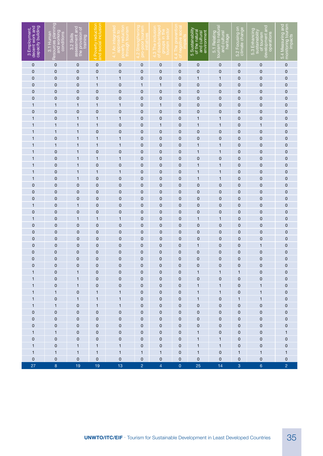| 3 Employment,<br>decent work and<br>capacity building | Resources planning<br>and working<br>conditions<br>3.1 Human | assessment and<br>the provision of<br>training<br>3.2 Skills | 4 Poverty reduction<br>and social inclusion | 4.1 An integrated<br>approach to<br>/ reductio<br>through tourism<br>pover | ourism<br>pro-pool<br>ی<br>ا<br>4 | age<br>ctor<br>4.3 The inclusi<br>of disadvantac<br>groups in<br>tourism se | 5OCI<br>$\Phi$<br>of negativ<br>4.4 The | 5 Sustainability<br>of the natural<br>and cultural<br>environment | 5.1 Relating<br>tourism to natural<br>and cultural<br>heritage | 5.2 Focusing on<br>climate change | of tourism<br>development and<br>5.3 Enhancing<br>sustainability<br>operations | 5.4 Measuring and<br>monitoring tourism<br>impacts |
|-------------------------------------------------------|--------------------------------------------------------------|--------------------------------------------------------------|---------------------------------------------|----------------------------------------------------------------------------|-----------------------------------|-----------------------------------------------------------------------------|-----------------------------------------|-------------------------------------------------------------------|----------------------------------------------------------------|-----------------------------------|--------------------------------------------------------------------------------|----------------------------------------------------|
| $\mathbf 0$                                           | $\mathbf 0$                                                  | $\mathbf 0$                                                  | $\mathbf 0$                                 | $\mathbf 0$                                                                | 0                                 | $\mathbf 0$                                                                 | 0                                       | 0                                                                 | 0                                                              | 0                                 | 0                                                                              | $\pmb{0}$                                          |
| $\mathbf 0$                                           | $\mathbf 0$                                                  | $\mathbf 0$                                                  | $\mathbf 0$                                 | $\mathbf 0$                                                                | 0                                 | 0                                                                           | $\mathbf 0$                             | 0                                                                 | 0                                                              | 0                                 | 0                                                                              | 0                                                  |
| $\mathbf 0$                                           | 0                                                            | $\mathbf 0$                                                  | 1                                           | 1                                                                          | 0                                 | $\mathbf 0$                                                                 | $\mathbf 0$                             | 1                                                                 | 1                                                              | 0                                 | 0                                                                              | 0                                                  |
| $\mathbf 0$                                           | 0                                                            | $\mathbf 0$                                                  | 1                                           | 0                                                                          | 1                                 | 1                                                                           | $\mathbf 0$                             | 0                                                                 | 0                                                              | 0                                 | 0                                                                              | $\pmb{0}$                                          |
| $\mathbf 0$                                           | 0                                                            | 0                                                            | 0                                           | 0                                                                          | 0                                 | $\mathbf 0$                                                                 | 0                                       | 0                                                                 | 0                                                              | 0                                 | 0                                                                              | $\pmb{0}$                                          |
| $\mathbf 0$                                           | 0                                                            | $\mathbf 0$                                                  | $\mathbf 0$                                 | 0                                                                          | 0                                 | $\mathbf 0$                                                                 | 0                                       | 0                                                                 | 0                                                              | $\mathbf 0$                       | 0                                                                              | $\pmb{0}$                                          |
| 1                                                     | 1                                                            | 1                                                            | $\mathbf 1$                                 | 1                                                                          | $\mathbf 0$                       | 1                                                                           | 0                                       | 0                                                                 | 0                                                              | 0                                 | 0                                                                              | $\pmb{0}$                                          |
| $\mathbf 0$                                           | $\mathbf 0$                                                  | $\mathbf 0$                                                  | 0                                           | $\mathbf 0$                                                                | $\mathbf 0$                       | $\pmb{0}$                                                                   | 0                                       | 0                                                                 | 0                                                              | 0                                 | 0                                                                              | $\pmb{0}$                                          |
| 1                                                     | 0                                                            | 1                                                            | 1                                           | 1                                                                          | 0                                 | $\mathbf 0$                                                                 | 0                                       | 1                                                                 | 1                                                              | 0                                 | 0                                                                              | $\pmb{0}$                                          |
| 1                                                     | 1                                                            | 1                                                            | 1                                           | $\mathbf 0$                                                                | 0                                 | 1                                                                           | 0                                       | 1                                                                 | 1                                                              | 0                                 | 1                                                                              | 0                                                  |
| 1                                                     | 1                                                            | $\mathbf{1}$                                                 | 0                                           | 0                                                                          | 0                                 | 0                                                                           | 0                                       | 0                                                                 | 0                                                              | 0                                 | 0                                                                              | 0                                                  |
| 1<br>1                                                | $\mathbf 0$<br>1                                             | $\mathbf{1}$<br>$\mathbf{1}$                                 | 1<br>$\overline{1}$                         | 1<br>1                                                                     | 0<br>$\mathbf 0$                  | 0<br>0                                                                      | 0<br>0                                  | 0<br>1                                                            | 0                                                              | 0<br>0                            | 0<br>0                                                                         | 0<br>0                                             |
| 1                                                     | 0                                                            | 1                                                            | $\mathbf 0$                                 | $\mathbf 0$                                                                | $\mathbf 0$                       | 0                                                                           | 0                                       | 1                                                                 | 1<br>1                                                         | 0                                 | 0                                                                              | 0                                                  |
| 1                                                     | 0                                                            | 1                                                            | 1                                           | $\mathbf{1}$                                                               | $\mathbf 0$                       | 0                                                                           | 0                                       | 0                                                                 | 0                                                              | 0                                 | 0                                                                              | $\pmb{0}$                                          |
| 1                                                     | $\mathbf 0$                                                  | 1                                                            | 0                                           | 0                                                                          | 0                                 | $\pmb{0}$                                                                   | $\mathbf 0$                             | 1                                                                 | 1                                                              | $\mathbf 0$                       | 0                                                                              | 0                                                  |
| 1                                                     | 0                                                            | 1                                                            | 1                                           | 1                                                                          | 0                                 | 0                                                                           | 0                                       | 1                                                                 | 1                                                              | $\mathbf 0$                       | 0                                                                              | 0                                                  |
| 1                                                     | 0                                                            | 1                                                            | 0                                           | 0                                                                          | 0                                 | 0                                                                           | 0                                       | 1                                                                 | 1                                                              | $\mathbf 0$                       | 0                                                                              | 0                                                  |
| $\mathbf 0$                                           | 0                                                            | 0                                                            | 0                                           | 0                                                                          | 0                                 | 0                                                                           | 0                                       | 0                                                                 | 0                                                              | $\mathbf 0$                       | 0                                                                              | 0                                                  |
| 0                                                     | $\mathbf 0$                                                  | $\mathbf 0$                                                  | 0                                           | 0                                                                          | 0                                 | 0                                                                           | 0                                       | 0                                                                 | 0                                                              | $\mathbf 0$                       | 0                                                                              | 0                                                  |
| 0                                                     | $\mathbf 0$                                                  | 0                                                            | 0                                           | 0                                                                          | 0                                 | 0                                                                           | 0                                       | 0                                                                 | 0                                                              | $\mathbf 0$                       | 0                                                                              | $\pmb{0}$                                          |
| 1                                                     | $\mathbf 0$                                                  | 1                                                            | 0                                           | 0                                                                          | 0                                 | 0                                                                           | 0                                       | 0                                                                 | 0                                                              | $\mathbf 0$                       | 0                                                                              | $\pmb{0}$                                          |
| 0                                                     | $\mathbf 0$                                                  | $\mathbf 0$                                                  | $\mathbf 0$                                 | 0                                                                          | 0                                 | 0                                                                           | 0                                       | 0                                                                 | 0                                                              | $\mathbf 0$                       | 0                                                                              | $\pmb{0}$                                          |
| 1                                                     | $\mathbf 0$                                                  | $\mathbf{1}$                                                 | 1                                           | 1                                                                          | 0                                 | 0                                                                           | 0                                       | 1                                                                 | 1                                                              | 0                                 | $\mathbf 0$                                                                    | $\pmb{0}$                                          |
| $\mathbf 0$                                           | $\mathbf 0$                                                  | $\mathbf 0$                                                  | 0                                           | 0                                                                          | 0                                 | 0                                                                           | 0                                       | 0                                                                 | 0                                                              | $\mathbf 0$                       | 0                                                                              | $\pmb{0}$                                          |
| 0                                                     | $\mathbf 0$                                                  | $\mathbf 0$                                                  | 0                                           | 0                                                                          | $\mathbf 0$                       | 0                                                                           | 0                                       | 0                                                                 | 0                                                              | $\mathbf 0$                       | 0                                                                              | $\pmb{0}$                                          |
| 0                                                     | $\mathbf 0$                                                  | $\mathbf 0$                                                  | 0                                           | 0                                                                          | $\mathbf 0$                       | 0                                                                           | 0                                       | 0                                                                 | 0                                                              | $\mathbf 0$                       | 0                                                                              | $\pmb{0}$                                          |
| 0                                                     | $\mathbf 0$                                                  | 0                                                            | 0                                           | 0                                                                          | $\mathbf 0$                       | $\mathbf 0$                                                                 | 0                                       | 1                                                                 | 0                                                              | 0                                 | 1                                                                              | 0                                                  |
| 0                                                     | $\mathbf 0$                                                  | $\mathbf 0$                                                  | 0                                           | $\mathbf 0$                                                                | $\mathbf 0$                       | $\mathbf 0$                                                                 | 0                                       | 0                                                                 | 0                                                              | 0                                 | 0                                                                              | $\pmb{0}$                                          |
| 0                                                     | 0                                                            | $\mathbf 0$                                                  | 0                                           | 0                                                                          | 0                                 | $\pmb{0}$                                                                   | 0                                       | 0                                                                 | 0                                                              | 0                                 | 0                                                                              | 0                                                  |
| U                                                     | U                                                            | U                                                            | U                                           | U                                                                          | U                                 | U                                                                           | 0                                       | U                                                                 | U                                                              | 0                                 | U                                                                              | U                                                  |
| $\mathbf{1}$                                          | $\pmb{0}$                                                    | $\mathbf{1}$                                                 | $\mathbf 0$                                 | $\pmb{0}$                                                                  | $\pmb{0}$                         | $\mathbf 0$                                                                 | 0                                       | $\mathbf{1}$                                                      | $\mathbf{1}$                                                   | 1                                 | $\pmb{0}$                                                                      | $\pmb{0}$                                          |
| $\mathbf{1}$                                          | $\pmb{0}$                                                    | $\mathbf{1}$                                                 | $\mathbf 0$                                 | $\mathsf{O}\xspace$                                                        | $\pmb{0}$                         | $\mathbf 0$                                                                 | 0                                       | $\pmb{0}$                                                         | 0                                                              | $\pmb{0}$                         | $\mathbf 0$                                                                    | $\pmb{0}$                                          |
| $\mathbf{1}$                                          | $\mathsf{O}\xspace$                                          | $\mathbf{1}$                                                 | 0                                           | $\mathbf 0$                                                                | 0                                 | $\pmb{0}$                                                                   | 0                                       | $\mathbf{1}$                                                      | 1                                                              | $\pmb{0}$                         | $\mathbf{1}$                                                                   | $\pmb{0}$                                          |
| $\mathbf{1}$<br>$\mathbf{1}$                          | $\mathbf{1}$<br>$\pmb{0}$                                    | $\pmb{0}$<br>$\mathbf{1}$                                    | 1                                           | $\mathbf{1}$<br>$\mathbf{1}$                                               | 0                                 | $\pmb{0}$<br>$\pmb{0}$                                                      | 0                                       | $\mathbf{1}$                                                      | $\mathbf{1}$                                                   | $\pmb{0}$                         | $\mathbf{1}$<br>$\mathbf{1}$                                                   | $\pmb{0}$                                          |
| $\mathbf{1}$                                          | $\mathbf{1}$                                                 | $\mathsf{O}\xspace$                                          | $\mathbf{1}$<br>$\mathbf{1}$                | $\mathbf{1}$                                                               | 0<br>$\pmb{0}$                    | $\pmb{0}$                                                                   | 0<br>0                                  | $\mathbf{1}$<br>0                                                 | 0<br>0                                                         | $\mathbf{1}$<br>$\pmb{0}$         | $\mathsf{O}\xspace$                                                            | $\pmb{0}$<br>$\pmb{0}$                             |
| $\pmb{0}$                                             | $\pmb{0}$                                                    | $\mathsf{O}\xspace$                                          | $\mathbf 0$                                 | $\mathsf{O}\xspace$                                                        | $\pmb{0}$                         | $\mathbf 0$                                                                 | 0                                       | 0                                                                 | 0                                                              | $\pmb{0}$                         | $\pmb{0}$                                                                      | $\mathsf{O}\xspace$                                |
| $\pmb{0}$                                             | $\mathsf{O}\xspace$                                          | $\mathsf{O}\xspace$                                          | $\mathsf{O}\xspace$                         | $\mathsf{O}\xspace$                                                        | $\pmb{0}$                         | $\mathbf 0$                                                                 | $\pmb{0}$                               | 0                                                                 | 0                                                              | $\pmb{0}$                         | $\pmb{0}$                                                                      | $\pmb{0}$                                          |
| $\pmb{0}$                                             | $\pmb{0}$                                                    | $\mathsf{O}\xspace$                                          | $\mathsf{O}\xspace$                         | $\mathsf{O}\xspace$                                                        | $\pmb{0}$                         | $\mathbf 0$                                                                 | $\pmb{0}$                               | 0                                                                 | 0                                                              | $\pmb{0}$                         | $\mathsf{O}\xspace$                                                            | 0                                                  |
| $\mathbf{1}$                                          | $\mathbf{1}$                                                 | $\pmb{0}$                                                    | $\mathbf 0$                                 | $\mathsf{O}\xspace$                                                        | $\pmb{0}$                         | $\mathbf 0$                                                                 | $\mathsf{O}\xspace$                     | $\mathbf{1}$                                                      | $\mathsf{O}\xspace$                                            | $\pmb{0}$                         | $\mathsf{O}\xspace$                                                            | $\mathbf{1}$                                       |
| $\pmb{0}$                                             | $\mathsf{O}\xspace$                                          | $\pmb{0}$                                                    | 0                                           | $\mathsf{O}\xspace$                                                        | $\pmb{0}$                         | $\mathbf 0$                                                                 | $\pmb{0}$                               | $\mathbf{1}$                                                      | $\mathbf{1}$                                                   | $\pmb{0}$                         | $\mathsf{O}\xspace$                                                            | $\pmb{0}$                                          |
| $\mathbf{1}$                                          | $\pmb{0}$                                                    | $\mathbf{1}$                                                 | $\mathbf{1}$                                | $\mathbf{1}$                                                               | $\pmb{0}$                         | $\mathbf 0$                                                                 | $\pmb{0}$                               | $\mathbf{1}$                                                      | $\mathbf{1}$                                                   | $\pmb{0}$                         | $\mathsf{O}\xspace$                                                            | $\pmb{0}$                                          |
| $\mathbf{1}$                                          | $\mathbf{1}$                                                 | $\mathbf{1}$                                                 | $\mathbf{1}$                                | $\mathbf{1}$                                                               | $\mathbf{1}$                      | $\mathbf{1}$                                                                | $\pmb{0}$                               | $\mathbf{1}$                                                      | $\pmb{0}$                                                      | $\mathbf{1}$                      | $\mathbf{1}$                                                                   | $\mathbf{1}$                                       |
| $\mathsf{O}\xspace$                                   | $\mathsf{O}\xspace$                                          | $\mathsf{O}\xspace$                                          | $\mathsf{O}$                                | $\mathsf{O}\xspace$                                                        | $\pmb{0}$                         | $\mathbf 0$                                                                 | $\pmb{0}$                               | $\mathsf{O}\xspace$                                               | $\mathsf{O}\xspace$                                            | $\pmb{0}$                         | $\mathsf{O}\xspace$                                                            | $\pmb{0}$                                          |
| 27                                                    | 8                                                            | 19                                                           | 19                                          | 13                                                                         | $\overline{2}$                    | $\overline{4}$                                                              | $\overline{0}$                          | 25                                                                | 14                                                             | $\overline{3}$                    | 6 <sup>1</sup>                                                                 | $\overline{2}$                                     |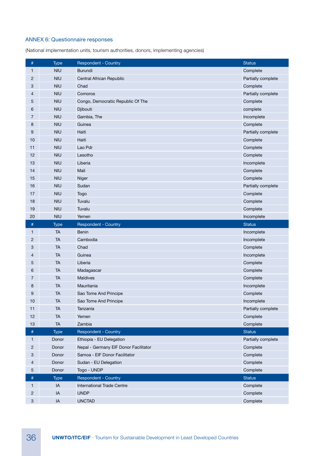## ANNEX 6: Questionnaire responses

(National implementation units, tourism authorities, donors, implementing agencies)

| $\#$                      | <b>Type</b> | <b>Respondent - Country</b>           | <b>Status</b>      |
|---------------------------|-------------|---------------------------------------|--------------------|
| $\mathbf{1}$              | <b>NIU</b>  | <b>Burundi</b>                        | Complete           |
| $\overline{2}$            | <b>NIU</b>  | Central African Republic              | Partially complete |
| 3                         | <b>NIU</b>  | Chad                                  | Complete           |
| 4                         | <b>NIU</b>  | Comoros                               | Partially complete |
| 5                         | <b>NIU</b>  | Congo, Democratic Republic Of The     | Complete           |
| 6                         | <b>NIU</b>  | Djibouti                              | complete           |
| $\overline{7}$            | <b>NIU</b>  | Gambia, The                           | Incomplete         |
| 8                         | <b>NIU</b>  | Guinea                                | Complete           |
| 9                         | <b>NIU</b>  | Haiti                                 | Partially complete |
| 10                        | <b>NIU</b>  | Haiti                                 | Complete           |
| 11                        | <b>NIU</b>  | Lao Pdr                               | Complete           |
| 12                        | <b>NIU</b>  | Lesotho                               | Complete           |
| 13                        | <b>NIU</b>  | Liberia                               | Incomplete         |
| 14                        | <b>NIU</b>  | Mali                                  | Complete           |
| 15                        | <b>NIU</b>  | Niger                                 | Complete           |
| 16                        | <b>NIU</b>  | Sudan                                 | Partially complete |
| 17                        | <b>NIU</b>  | Togo                                  | Complete           |
| 18                        | <b>NIU</b>  | Tuvalu                                | Complete           |
| 19                        | <b>NIU</b>  | Tuvalu                                | Complete           |
| 20                        | <b>NIU</b>  | Yemen                                 | Incomplete         |
| $\#$                      | <b>Type</b> | Respondent - Country                  | <b>Status</b>      |
| $\mathbf{1}$              | <b>TA</b>   | Benin                                 | Incomplete         |
| $\overline{2}$            | <b>TA</b>   | Cambodia                              | Incomplete         |
| 3                         | <b>TA</b>   | Chad                                  | Complete           |
| 4                         | <b>TA</b>   | Guinea                                | Incomplete         |
| 5                         | ТA          | Liberia                               | Complete           |
| 6                         | <b>TA</b>   | Madagascar                            | Complete           |
| 7                         | <b>TA</b>   | <b>Maldives</b>                       | Complete           |
| 8                         | <b>TA</b>   | Mauritania                            | Incomplete         |
| 9                         | ТA          | Sao Tome And Principe                 | Complete           |
| 10                        | TA          | Sao Tome And Principe                 | Incomplete         |
| 11                        | <b>TA</b>   | Tanzania                              | Partially complete |
| 12                        | <b>TA</b>   | Yemen                                 | Complete           |
| 13                        | <b>TA</b>   | Zambia                                | Complete           |
| $\#$                      | <b>Type</b> | <b>Respondent - Country</b>           | <b>Status</b>      |
| $\mathbf{1}$              | Donor       | Ethiopia - EU Delegation              | Partially complete |
| $\overline{c}$            | Donor       | Nepal - Germany EIF Donor Facilitator | Complete           |
| $\ensuremath{\mathsf{3}}$ | Donor       | Samoa - EIF Donor Facilitator         | Complete           |
| $\overline{4}$            | Donor       | Sudan - EU Delegation                 | Complete           |
| $\overline{5}$            | Donor       | Togo - UNDP                           | Complete           |
| $\#$                      | <b>Type</b> | <b>Respondent - Country</b>           | <b>Status</b>      |
| $\mathbf{1}$              | IA          | <b>International Trade Centre</b>     | Complete           |
| $\sqrt{2}$                | IA          | <b>UNDP</b>                           | Complete           |
| $\ensuremath{\mathsf{3}}$ | $\sf IA$    | <b>UNCTAD</b>                         | Complete           |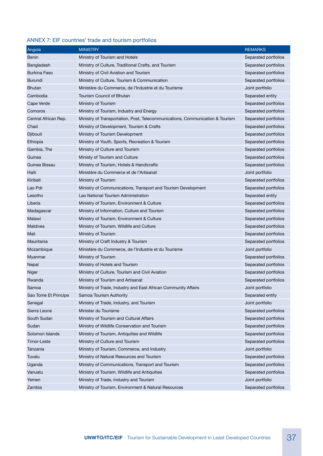## ANNEX 7: EIF countries' trade and tourism portfolios

| Angola               | <b>MINISTRY</b>                                                               | <b>REMARKS</b>       |
|----------------------|-------------------------------------------------------------------------------|----------------------|
| <b>Benin</b>         | Ministry of Tourism and Hotels                                                | Separated portfolios |
| Bangladesh           | Ministry of Culture, Traditional Crafts, and Tourism                          | Separated portfolios |
| <b>Burkina Faso</b>  | Ministry of Civil Aviation and Tourism                                        | Separated portfolios |
| <b>Burundi</b>       | Ministry of Culture, Tourism & Communication                                  | Separated portfolios |
| <b>Bhutan</b>        | Ministère du Commerce, de l'Industrie et du Tourisme                          | Joint portfolio      |
| Cambodia             | Tourism Council of Bhutan                                                     | Separated entity     |
| Cape Verde           | Ministry of Tourism                                                           | Separated portfolios |
| Comoros              | Ministry of Tourism, Industry and Energy                                      | Separated portfolios |
| Central African Rep. | Ministry of Transportation, Post, Telecommunications, Communication & Tourism | Separated portfolios |
| Chad                 | Ministry of Development, Tourism & Crafts                                     | Separated portfolios |
| Djibouti             | Ministry of Tourism Development                                               | Separated portfolios |
| Ethiopia             | Ministry of Youth, Sports, Recreation & Tourism                               | Separated portfolios |
| Gambia, The          | Ministry of Culture and Tourism                                               | Separated portfolios |
| Guinea               | Ministy of Tourism and Culture                                                | Separated portfolios |
| Guinea Bissau        | Ministry of Tourism, Hotels & Handicrafts                                     | Separated portfolios |
| Haiti                | Ministère du Commerce et de l'Artisanat                                       | Joint portfolio      |
| Kiribati             | Ministry of Tourism                                                           | Separated portfolios |
| Lao Pdr              | Ministry of Communications, Transport and Tourism Development                 | Separated portfolios |
| Lesotho              | Lao National Tourism Administration                                           | Separated entity     |
| Liberia              | Ministry of Tourism, Environment & Culture                                    | Separated portfolios |
| Madagascar           | Ministry of Information, Culture and Tourism                                  | Separated portfolios |
| Malawi               | Ministry of Tourism, Environment & Culture                                    | Separated portfolios |
| <b>Maldives</b>      | Ministry of Tourism, Wildlife and Culture                                     | Separated portfolios |
| Mali                 | Ministry of Tourism                                                           | Separated portfolios |
| Mauritania           | Ministry of Craft Industry & Tourism                                          | Separated portfolios |
| Mozambique           | Ministère du Commerce, de l'Industrie et du Tourisme                          | Joint portfolio      |
| Myanmar              | Ministry of Tourism                                                           | Separated portfolios |
| Nepal                | Ministry of Hotels and Tourism                                                | Separated portfolios |
| Niger                | Ministry of Culture, Tourism and Civil Aviation                               | Separated portfolios |
| Rwanda               | Ministry of Tourism and Artisanat                                             | Separated portfolios |
| Samoa                | Ministry of Trade, Industry and East African Community Affairs                | Joint portfolio      |
| Sao Tome Et Principe | Samoa Tourism Authority                                                       | Separated entity     |
| Senegal              | Ministry of Trade, Industry, and Tourism                                      | Joint portfolio      |
| Sierra Leone         | Minister du Tourisme                                                          | Separated portfolios |
| South Sudan          | Ministry of Tourism and Cultural Affairs                                      | Separated portfolios |
| Sudan                | Ministry of Wildlife Conservation and Tourism                                 | Separated portfolios |
| Solomon Islands      | Ministry of Tourism, Antiquities and Wildlife                                 | Separeted portfolios |
| Timor-Leste          | Ministry of Culture and Tourism                                               | Separated portfolios |
| Tanzania             | Ministry of Tourism, Commerce, and Industry                                   | Joint portfolio      |
| Tuvalu               | Ministry of Natural Resources and Tourism                                     | Separated portfolios |
| Uganda               | Ministry of Communications, Transport and Tourism                             | Separated portfolios |
| Vanuatu              | Ministry of Tourism, Wildlife and Antiquities                                 | Separated portfolios |
| Yemen                | Ministry of Trade, Industry and Tourism                                       | Joint portfolio      |
| Zambia               | Ministry of Tourism, Environment & Natural Resources                          | Separated portfolios |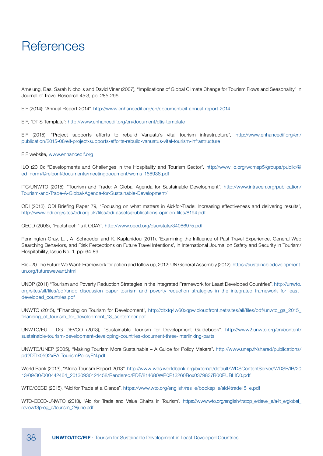## **References**

Amelung, Bas, Sarah Nicholls and David Viner (2007), "Implications of Global Climate Change for Tourism Flows and Seasonality" in Journal of Travel Research 45:3, pp. 285-296.

EIF (2014): "Annual Report 2014". http://www.enhancedif.org/en/document/eif-annual-report-2014

EIF, "DTIS Template": http://www.enhancedif.org/en/document/dtis-template

EIF (2015), "Project supports efforts to rebuild Vanuatu's vital tourism infrastructure", http://www.enhancedif.org/en/ publication/2015-08/eif-project-supports-efforts-rebuild-vanuatus-vital-tourism-infrastructure

EIF website, www.enhancedif.org

ILO (2010): "Developments and Challenges in the Hospitality and Tourism Sector". http://www.ilo.org/wcmsp5/groups/public/@ ed\_norm/@relconf/documents/meetingdocument/wcms\_166938.pdf

ITC/UNWTO (2015): "Tourism and Trade: A Global Agenda for Sustainable Development". http://www.intracen.org/publication/ Tourism-and-Trade-A-Global-Agenda-for-Sustainable-Development/

ODI (2013), ODI Briefing Paper 79, "Focusing on what matters in Aid-for-Trade: Increasing effectiveness and delivering results", http://www.odi.org/sites/odi.org.uk/files/odi-assets/publications-opinion-files/8194.pdf

OECD (2008), "Factsheet: 'Is it ODA?", http://www.oecd.org/dac/stats/34086975.pdf

Pennington-Gray, L. , A. Schroeder and K. Kaplanidou (2011), 'Examining the Influence of Past Travel Experience, General Web Searching Behaviors, and Risk Perceptions on Future Travel Intentions', in International Journal on Safety and Security in Tourism/ Hospitability, Issue No. 1, pp: 64-89.

Rio+20 The Future We Want: Framework for action and follow up, 2012; UN General Assembly (2012). https://sustainabledevelopment. un.org/futurewewant.html

UNDP (2011) "Tourism and Poverty Reduction Strategies in the Integrated Framework for Least Developed Countries". http://unwto. org/sites/all/files/pdf/undp\_discussion\_paper\_tourism\_and\_poverty\_reduction\_strategies\_in\_the\_integrated\_framework\_for\_least\_ developed\_countries.pdf

UNWTO (2015), "Financing on Tourism for Development", http://dtxtq4w60xqpw.cloudfront.net/sites/all/files/pdf/unwto\_ga\_2015\_ financing\_of\_tourism\_for\_development\_13\_september.pdf

UNWTO/EU - DG DEVCO (2013), "Sustainable Tourism for Development Guidebook". http://www2.unwto.org/en/content/ sustainable-tourism-development-developing-countries-document-three-interlinking-parts

UNWTO/UNEP (2005), "Making Tourism More Sustainable – A Guide for Policy Makers". http://www.unep.fr/shared/publications/ pdf/DTIx0592xPA-TourismPolicyEN.pdf

World Bank (2013), "Africa Tourism Report 2013". http://www-wds.worldbank.org/external/default/WDSContentServer/WDSP/IB/20 13/09/30/000442464\_20130930124458/Rendered/PDF/814680WP0P13260Box0379837B00PUBLIC0.pdf

WTO/OECD (2015), "Aid for Trade at a Glance". https://www.wto.org/english/res\_e/booksp\_e/aid4trade15\_e.pdf

WTO-OECD-UNWTO (2013), "Aid for Trade and Value Chains in Tourism", https://www.wto.org/english/tratop\_e/devel\_e/a4t\_e/global\_ review13prog\_e/tourism\_28june.pdf